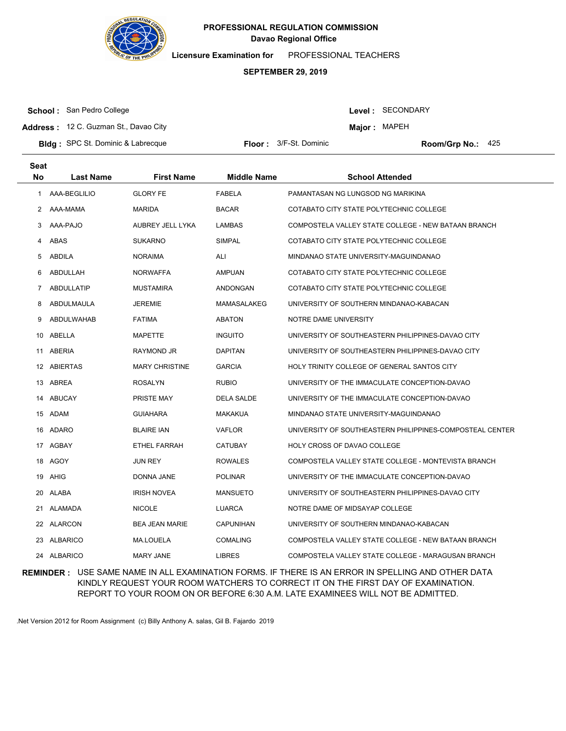

**Licensure Examination for**  PROFESSIONAL TEACHERS

#### **SEPTEMBER 29, 2019**

**School :** San Pedro College

Level : SECONDARY

**Major: MAPEH** 

**Address :** 12 C. Guzman St., Davao City

**Bldg :** SPC St. Dominic & Labrecque **Floor : Room: Floor :** 3/F-St. Dominic **Room/Grp No.:** Floor: 3/F-St. Dominic Room/Grp No.: 425

| <b>Seat</b> |                   |                       |                    |                                                          |
|-------------|-------------------|-----------------------|--------------------|----------------------------------------------------------|
| <b>No</b>   | Last Name         | First Name            | <b>Middle Name</b> | <b>School Attended</b>                                   |
| 1.          | AAA-BEGLILIO      | <b>GLORY FE</b>       | <b>FABELA</b>      | PAMANTASAN NG LUNGSOD NG MARIKINA                        |
| 2           | AAA-MAMA          | <b>MARIDA</b>         | <b>BACAR</b>       | COTABATO CITY STATE POLYTECHNIC COLLEGE                  |
| 3           | AAA-PAJO          | AUBREY JELL LYKA      | LAMBAS             | COMPOSTELA VALLEY STATE COLLEGE - NEW BATAAN BRANCH      |
| 4           | ABAS              | <b>SUKARNO</b>        | <b>SIMPAL</b>      | COTABATO CITY STATE POLYTECHNIC COLLEGE                  |
| 5           | ABDILA            | <b>NORAIMA</b>        | ALI                | MINDANAO STATE UNIVERSITY-MAGUINDANAO                    |
| 6           | ABDULLAH          | <b>NORWAFFA</b>       | <b>AMPUAN</b>      | COTABATO CITY STATE POLYTECHNIC COLLEGE                  |
| 7           | ABDULLATIP        | <b>MUSTAMIRA</b>      | ANDONGAN           | COTABATO CITY STATE POLYTECHNIC COLLEGE                  |
| 8           | ABDULMAULA        | <b>JEREMIE</b>        | <b>MAMASALAKEG</b> | UNIVERSITY OF SOUTHERN MINDANAO-KABACAN                  |
| 9           | <b>ABDULWAHAB</b> | <b>FATIMA</b>         | <b>ABATON</b>      | NOTRE DAME UNIVERSITY                                    |
|             | 10 ABELLA         | <b>MAPETTE</b>        | <b>INGUITO</b>     | UNIVERSITY OF SOUTHEASTERN PHILIPPINES-DAVAO CITY        |
|             | 11 ABERIA         | RAYMOND JR            | <b>DAPITAN</b>     | UNIVERSITY OF SOUTHEASTERN PHILIPPINES-DAVAO CITY        |
|             | 12 ABIERTAS       | <b>MARY CHRISTINE</b> | <b>GARCIA</b>      | HOLY TRINITY COLLEGE OF GENERAL SANTOS CITY              |
|             | 13 ABREA          | <b>ROSALYN</b>        | <b>RUBIO</b>       | UNIVERSITY OF THE IMMACULATE CONCEPTION-DAVAO            |
|             | 14 ABUCAY         | PRISTE MAY            | DELA SALDE         | UNIVERSITY OF THE IMMACULATE CONCEPTION-DAVAO            |
|             | 15 ADAM           | <b>GUIAHARA</b>       | MAKAKUA            | MINDANAO STATE UNIVERSITY-MAGUINDANAO                    |
|             | 16 ADARO          | <b>BLAIRE IAN</b>     | <b>VAFLOR</b>      | UNIVERSITY OF SOUTHEASTERN PHILIPPINES-COMPOSTEAL CENTER |
|             | 17 AGBAY          | ETHEL FARRAH          | <b>CATUBAY</b>     | HOLY CROSS OF DAVAO COLLEGE                              |
| 18          | AGOY              | <b>JUN REY</b>        | <b>ROWALES</b>     | COMPOSTELA VALLEY STATE COLLEGE - MONTEVISTA BRANCH      |
| 19          | AHIG              | DONNA JANE            | <b>POLINAR</b>     | UNIVERSITY OF THE IMMACULATE CONCEPTION-DAVAO            |
|             | 20 ALABA          | <b>IRISH NOVEA</b>    | <b>MANSUETO</b>    | UNIVERSITY OF SOUTHEASTERN PHILIPPINES-DAVAO CITY        |
|             | 21 ALAMADA        | <b>NICOLE</b>         | LUARCA             | NOTRE DAME OF MIDSAYAP COLLEGE                           |
| 22          | <b>ALARCON</b>    | <b>BEA JEAN MARIE</b> | <b>CAPUNIHAN</b>   | UNIVERSITY OF SOUTHERN MINDANAO-KABACAN                  |
| 23          | ALBARICO          | MA.LOUELA             | <b>COMALING</b>    | COMPOSTELA VALLEY STATE COLLEGE - NEW BATAAN BRANCH      |
|             | 24 ALBARICO       | <b>MARY JANE</b>      | <b>LIBRES</b>      | COMPOSTELA VALLEY STATE COLLEGE - MARAGUSAN BRANCH       |

**REMINDER :** USE SAME NAME IN ALL EXAMINATION FORMS. IF THERE IS AN ERROR IN SPELLING AND OTHER DATA KINDLY REQUEST YOUR ROOM WATCHERS TO CORRECT IT ON THE FIRST DAY OF EXAMINATION. REPORT TO YOUR ROOM ON OR BEFORE 6:30 A.M. LATE EXAMINEES WILL NOT BE ADMITTED.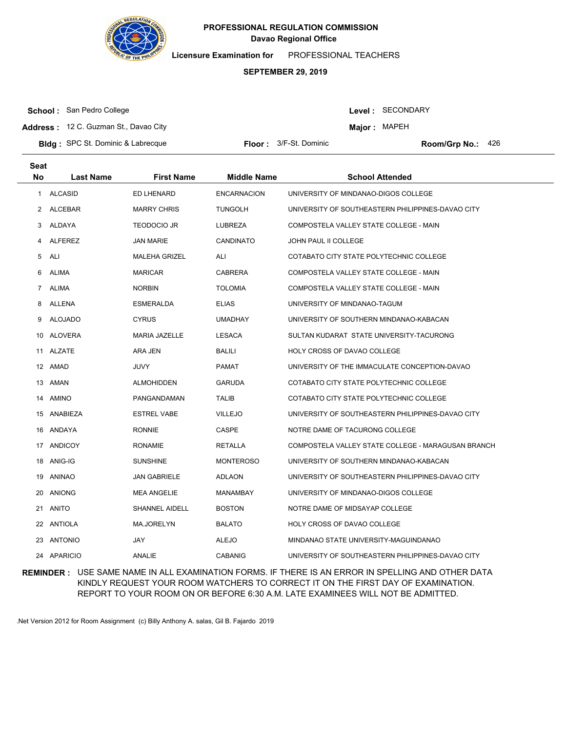

**Licensure Examination for**  PROFESSIONAL TEACHERS

#### **SEPTEMBER 29, 2019**

**School :** San Pedro College

Level : SECONDARY

**Major: MAPEH** 

**Address :** 12 C. Guzman St., Davao City

**Bldg :** SPC St. Dominic & Labrecque **Floor : Room: Floor :** 3/F-St. Dominic **Room/Grp No.:** Floor: 3/F-St. Dominic Room/Grp No.: 426

| <b>Seat</b>    |                  |                      |                    |                                                    |
|----------------|------------------|----------------------|--------------------|----------------------------------------------------|
| <b>No</b>      | <b>Last Name</b> | <b>First Name</b>    | <b>Middle Name</b> | <b>School Attended</b>                             |
| 1              | <b>ALCASID</b>   | <b>ED LHENARD</b>    | <b>ENCARNACION</b> | UNIVERSITY OF MINDANAO-DIGOS COLLEGE               |
| $\mathbf{2}$   | ALCEBAR          | <b>MARRY CHRIS</b>   | <b>TUNGOLH</b>     | UNIVERSITY OF SOUTHEASTERN PHILIPPINES-DAVAO CITY  |
| 3              | ALDAYA           | <b>TEODOCIO JR</b>   | LUBREZA            | COMPOSTELA VALLEY STATE COLLEGE - MAIN             |
| 4              | ALFEREZ          | <b>JAN MARIE</b>     | <b>CANDINATO</b>   | JOHN PAUL II COLLEGE                               |
| 5              | ALI              | <b>MALEHA GRIZEL</b> | ALI                | COTABATO CITY STATE POLYTECHNIC COLLEGE            |
| 6              | ALIMA            | <b>MARICAR</b>       | CABRERA            | COMPOSTELA VALLEY STATE COLLEGE - MAIN             |
| $\overline{7}$ | ALIMA            | <b>NORBIN</b>        | <b>TOLOMIA</b>     | COMPOSTELA VALLEY STATE COLLEGE - MAIN             |
| 8              | ALLENA           | <b>ESMERALDA</b>     | <b>ELIAS</b>       | UNIVERSITY OF MINDANAO-TAGUM                       |
| 9              | ALOJADO          | <b>CYRUS</b>         | UMADHAY            | UNIVERSITY OF SOUTHERN MINDANAO-KABACAN            |
| 10             | ALOVERA          | <b>MARIA JAZELLE</b> | LESACA             | SULTAN KUDARAT STATE UNIVERSITY-TACURONG           |
|                | 11 ALZATE        | ARA JEN              | <b>BALILI</b>      | HOLY CROSS OF DAVAO COLLEGE                        |
|                | 12 AMAD          | JUVY                 | <b>PAMAT</b>       | UNIVERSITY OF THE IMMACULATE CONCEPTION-DAVAO      |
| 13             | AMAN             | <b>ALMOHIDDEN</b>    | <b>GARUDA</b>      | COTABATO CITY STATE POLYTECHNIC COLLEGE            |
| 14             | AMINO            | PANGANDAMAN          | <b>TALIB</b>       | COTABATO CITY STATE POLYTECHNIC COLLEGE            |
|                | 15 ANABIEZA      | <b>ESTREL VABE</b>   | <b>VILLEJO</b>     | UNIVERSITY OF SOUTHEASTERN PHILIPPINES-DAVAO CITY  |
|                | 16 ANDAYA        | <b>RONNIE</b>        | <b>CASPE</b>       | NOTRE DAME OF TACURONG COLLEGE                     |
|                | 17 ANDICOY       | <b>RONAMIE</b>       | RETALLA            | COMPOSTELA VALLEY STATE COLLEGE - MARAGUSAN BRANCH |
|                | 18 ANIG-IG       | <b>SUNSHINE</b>      | <b>MONTEROSO</b>   | UNIVERSITY OF SOUTHERN MINDANAO-KABACAN            |
| 19             | ANINAO           | <b>JAN GABRIELE</b>  | <b>ADLAON</b>      | UNIVERSITY OF SOUTHEASTERN PHILIPPINES-DAVAO CITY  |
| 20             | ANIONG           | <b>MEA ANGELIE</b>   | MANAMBAY           | UNIVERSITY OF MINDANAO-DIGOS COLLEGE               |
|                | 21 ANITO         | SHANNEL AIDELL       | <b>BOSTON</b>      | NOTRE DAME OF MIDSAYAP COLLEGE                     |
| 22             | ANTIOLA          | MA.JORELYN           | <b>BALATO</b>      | HOLY CROSS OF DAVAO COLLEGE                        |
| 23             | ANTONIO          | <b>JAY</b>           | <b>ALEJO</b>       | MINDANAO STATE UNIVERSITY-MAGUINDANAO              |
|                | 24 APARICIO      | <b>ANALIE</b>        | <b>CABANIG</b>     | UNIVERSITY OF SOUTHEASTERN PHILIPPINES-DAVAO CITY  |

**REMINDER :** USE SAME NAME IN ALL EXAMINATION FORMS. IF THERE IS AN ERROR IN SPELLING AND OTHER DATA KINDLY REQUEST YOUR ROOM WATCHERS TO CORRECT IT ON THE FIRST DAY OF EXAMINATION. REPORT TO YOUR ROOM ON OR BEFORE 6:30 A.M. LATE EXAMINEES WILL NOT BE ADMITTED.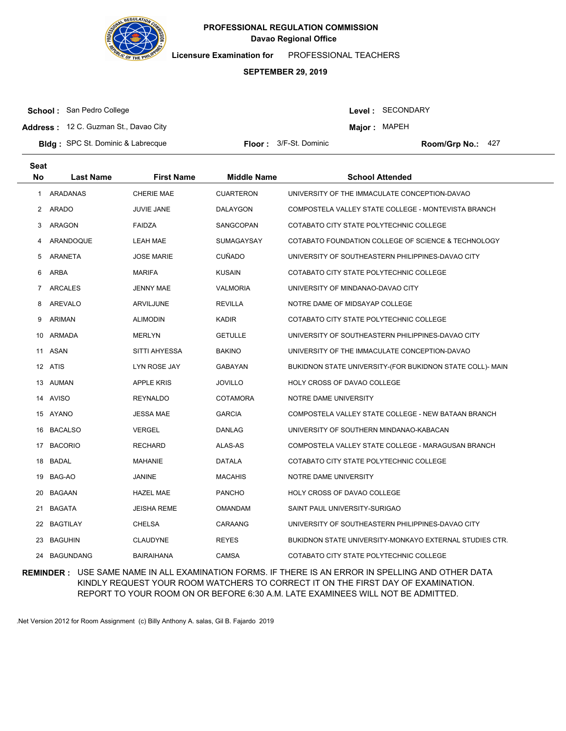

**Licensure Examination for**  PROFESSIONAL TEACHERS

#### **SEPTEMBER 29, 2019**

**School :** San Pedro College

Level : SECONDARY

**Major: MAPEH** 

**Address :** 12 C. Guzman St., Davao City

**Bldg :** SPC St. Dominic & Labrecque **Floor : Room: Floor :** 3/F-St. Dominic **Room/Grp No.:** Floor: 3/F-St. Dominic Room/Grp No.: 427

| <b>Seat</b>  |                  |                    |                    |                                                           |
|--------------|------------------|--------------------|--------------------|-----------------------------------------------------------|
| <b>No</b>    | <b>Last Name</b> | <b>First Name</b>  | <b>Middle Name</b> | <b>School Attended</b>                                    |
| $\mathbf{1}$ | <b>ARADANAS</b>  | <b>CHERIE MAE</b>  | <b>CUARTERON</b>   | UNIVERSITY OF THE IMMACULATE CONCEPTION-DAVAO             |
| 2            | <b>ARADO</b>     | JUVIE JANE         | DALAYGON           | COMPOSTELA VALLEY STATE COLLEGE - MONTEVISTA BRANCH       |
| 3            | ARAGON           | <b>FAIDZA</b>      | SANGCOPAN          | COTABATO CITY STATE POLYTECHNIC COLLEGE                   |
| 4            | ARANDOQUE        | LEAH MAE           | SUMAGAYSAY         | COTABATO FOUNDATION COLLEGE OF SCIENCE & TECHNOLOGY       |
| 5            | <b>ARANETA</b>   | <b>JOSE MARIE</b>  | <b>CUÑADO</b>      | UNIVERSITY OF SOUTHEASTERN PHILIPPINES-DAVAO CITY         |
| 6            | ARBA             | <b>MARIFA</b>      | <b>KUSAIN</b>      | COTABATO CITY STATE POLYTECHNIC COLLEGE                   |
| 7            | ARCALES          | <b>JENNY MAE</b>   | <b>VALMORIA</b>    | UNIVERSITY OF MINDANAO-DAVAO CITY                         |
| 8            | AREVALO          | <b>ARVILJUNE</b>   | <b>REVILLA</b>     | NOTRE DAME OF MIDSAYAP COLLEGE                            |
| 9            | ARIMAN           | <b>ALIMODIN</b>    | <b>KADIR</b>       | COTABATO CITY STATE POLYTECHNIC COLLEGE                   |
| 10           | ARMADA           | MERLYN             | <b>GETULLE</b>     | UNIVERSITY OF SOUTHEASTERN PHILIPPINES-DAVAO CITY         |
|              | 11 ASAN          | SITTI AHYESSA      | <b>BAKINO</b>      | UNIVERSITY OF THE IMMACULATE CONCEPTION-DAVAO             |
|              | 12 ATIS          | LYN ROSE JAY       | GABAYAN            | BUKIDNON STATE UNIVERSITY-(FOR BUKIDNON STATE COLL)- MAIN |
|              | 13 AUMAN         | <b>APPLE KRIS</b>  | <b>JOVILLO</b>     | HOLY CROSS OF DAVAO COLLEGE                               |
|              | 14 AVISO         | <b>REYNALDO</b>    | <b>COTAMORA</b>    | NOTRE DAME UNIVERSITY                                     |
|              | 15 AYANO         | <b>JESSA MAE</b>   | <b>GARCIA</b>      | COMPOSTELA VALLEY STATE COLLEGE - NEW BATAAN BRANCH       |
| 16           | <b>BACALSO</b>   | <b>VERGEL</b>      | <b>DANLAG</b>      | UNIVERSITY OF SOUTHERN MINDANAO-KABACAN                   |
|              | 17 BACORIO       | <b>RECHARD</b>     | ALAS-AS            | COMPOSTELA VALLEY STATE COLLEGE - MARAGUSAN BRANCH        |
| 18           | BADAL            | <b>MAHANIE</b>     | <b>DATALA</b>      | COTABATO CITY STATE POLYTECHNIC COLLEGE                   |
| 19           | BAG-AO           | <b>JANINE</b>      | <b>MACAHIS</b>     | NOTRE DAME UNIVERSITY                                     |
| 20           | <b>BAGAAN</b>    | <b>HAZEL MAE</b>   | <b>PANCHO</b>      | HOLY CROSS OF DAVAO COLLEGE                               |
| 21           | BAGATA           | <b>JEISHA REME</b> | <b>OMANDAM</b>     | SAINT PAUL UNIVERSITY-SURIGAO                             |
|              | 22 BAGTILAY      | CHELSA             | CARAANG            | UNIVERSITY OF SOUTHEASTERN PHILIPPINES-DAVAO CITY         |
| 23           | <b>BAGUHIN</b>   | <b>CLAUDYNE</b>    | <b>REYES</b>       | BUKIDNON STATE UNIVERSITY-MONKAYO EXTERNAL STUDIES CTR.   |
|              | 24 BAGUNDANG     | <b>BAIRAIHANA</b>  | <b>CAMSA</b>       | COTABATO CITY STATE POLYTECHNIC COLLEGE                   |

**REMINDER :** USE SAME NAME IN ALL EXAMINATION FORMS. IF THERE IS AN ERROR IN SPELLING AND OTHER DATA KINDLY REQUEST YOUR ROOM WATCHERS TO CORRECT IT ON THE FIRST DAY OF EXAMINATION. REPORT TO YOUR ROOM ON OR BEFORE 6:30 A.M. LATE EXAMINEES WILL NOT BE ADMITTED.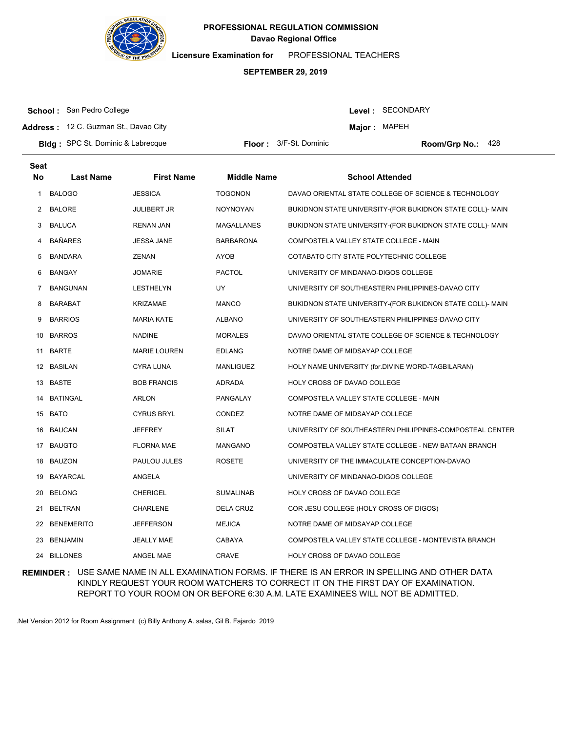

**Licensure Examination for**  PROFESSIONAL TEACHERS

#### **SEPTEMBER 29, 2019**

**School :** San Pedro College

Level : SECONDARY

**Major: MAPEH** 

**Address :** 12 C. Guzman St., Davao City

**Bldg :** SPC St. Dominic & Labrecque **Floor : Room: Floor :** 3/F-St. Dominic **Room/Grp No.:** Floor: 3/F-St. Dominic Room/Grp No.: 428

| Seat |                   |                     |                    |                                                           |
|------|-------------------|---------------------|--------------------|-----------------------------------------------------------|
| No   | <b>Last Name</b>  | <b>First Name</b>   | <b>Middle Name</b> | <b>School Attended</b>                                    |
| 1    | <b>BALOGO</b>     | <b>JESSICA</b>      | <b>TOGONON</b>     | DAVAO ORIENTAL STATE COLLEGE OF SCIENCE & TECHNOLOGY      |
| 2    | <b>BALORE</b>     | JULIBERT JR         | NOYNOYAN           | BUKIDNON STATE UNIVERSITY-(FOR BUKIDNON STATE COLL)- MAIN |
| 3    | <b>BALUCA</b>     | <b>RENAN JAN</b>    | <b>MAGALLANES</b>  | BUKIDNON STATE UNIVERSITY-(FOR BUKIDNON STATE COLL)- MAIN |
| 4    | <b>BAÑARES</b>    | <b>JESSA JANE</b>   | BARBARONA          | COMPOSTELA VALLEY STATE COLLEGE - MAIN                    |
| 5    | <b>BANDARA</b>    | ZENAN               | AYOB               | COTABATO CITY STATE POLYTECHNIC COLLEGE                   |
| 6    | <b>BANGAY</b>     | <b>JOMARIE</b>      | <b>PACTOL</b>      | UNIVERSITY OF MINDANAO-DIGOS COLLEGE                      |
| 7    | <b>BANGUNAN</b>   | <b>LESTHELYN</b>    | UY                 | UNIVERSITY OF SOUTHEASTERN PHILIPPINES-DAVAO CITY         |
| 8    | <b>BARABAT</b>    | <b>KRIZAMAE</b>     | <b>MANCO</b>       | BUKIDNON STATE UNIVERSITY-(FOR BUKIDNON STATE COLL)- MAIN |
| 9    | <b>BARRIOS</b>    | <b>MARIA KATE</b>   | ALBANO             | UNIVERSITY OF SOUTHEASTERN PHILIPPINES-DAVAO CITY         |
| 10   | <b>BARROS</b>     | <b>NADINE</b>       | <b>MORALES</b>     | DAVAO ORIENTAL STATE COLLEGE OF SCIENCE & TECHNOLOGY      |
| 11   | <b>BARTE</b>      | <b>MARIE LOUREN</b> | <b>EDLANG</b>      | NOTRE DAME OF MIDSAYAP COLLEGE                            |
|      | 12 BASILAN        | <b>CYRA LUNA</b>    | <b>MANLIGUEZ</b>   | HOLY NAME UNIVERSITY (for.DIVINE WORD-TAGBILARAN)         |
|      | 13 BASTE          | <b>BOB FRANCIS</b>  | ADRADA             | HOLY CROSS OF DAVAO COLLEGE                               |
|      | 14 BATINGAL       | <b>ARLON</b>        | PANGALAY           | COMPOSTELA VALLEY STATE COLLEGE - MAIN                    |
|      | 15 BATO           | <b>CYRUS BRYL</b>   | <b>CONDEZ</b>      | NOTRE DAME OF MIDSAYAP COLLEGE                            |
| 16   | <b>BAUCAN</b>     | <b>JEFFREY</b>      | SILAT              | UNIVERSITY OF SOUTHEASTERN PHILIPPINES-COMPOSTEAL CENTER  |
| 17   | <b>BAUGTO</b>     | <b>FLORNA MAE</b>   | <b>MANGANO</b>     | COMPOSTELA VALLEY STATE COLLEGE - NEW BATAAN BRANCH       |
| 18   | <b>BAUZON</b>     | PAULOU JULES        | <b>ROSETE</b>      | UNIVERSITY OF THE IMMACULATE CONCEPTION-DAVAO             |
| 19   | BAYARCAL          | ANGELA              |                    | UNIVERSITY OF MINDANAO-DIGOS COLLEGE                      |
| 20   | <b>BELONG</b>     | <b>CHERIGEL</b>     | <b>SUMALINAB</b>   | HOLY CROSS OF DAVAO COLLEGE                               |
| 21   | <b>BELTRAN</b>    | <b>CHARLENE</b>     | DELA CRUZ          | COR JESU COLLEGE (HOLY CROSS OF DIGOS)                    |
| 22   | <b>BENEMERITO</b> | <b>JEFFERSON</b>    | <b>MEJICA</b>      | NOTRE DAME OF MIDSAYAP COLLEGE                            |
| 23   | <b>BENJAMIN</b>   | <b>JEALLY MAE</b>   | CABAYA             | COMPOSTELA VALLEY STATE COLLEGE - MONTEVISTA BRANCH       |
| 24   | <b>BILLONES</b>   | ANGEL MAE           | <b>CRAVE</b>       | HOLY CROSS OF DAVAO COLLEGE                               |

**REMINDER :** USE SAME NAME IN ALL EXAMINATION FORMS. IF THERE IS AN ERROR IN SPELLING AND OTHER DATA KINDLY REQUEST YOUR ROOM WATCHERS TO CORRECT IT ON THE FIRST DAY OF EXAMINATION. REPORT TO YOUR ROOM ON OR BEFORE 6:30 A.M. LATE EXAMINEES WILL NOT BE ADMITTED.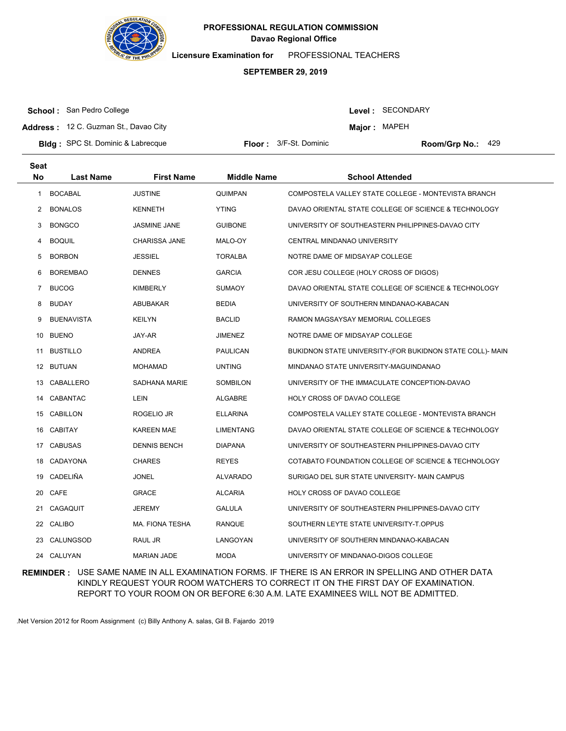

**Licensure Examination for**  PROFESSIONAL TEACHERS

#### **SEPTEMBER 29, 2019**

**School :** San Pedro College

Level : SECONDARY

**Major: MAPEH** 

**Address :** 12 C. Guzman St., Davao City

**Bldg :** SPC St. Dominic & Labrecque **Floor : Room: Floor :** 3/F-St. Dominic **Room/Grp No.:** 

Floor: 3/F-St. Dominic Room/Grp No.: 429

| <b>Seat</b> |                   |                      |                    |                                                           |
|-------------|-------------------|----------------------|--------------------|-----------------------------------------------------------|
| <b>No</b>   | <b>Last Name</b>  | <b>First Name</b>    | <b>Middle Name</b> | <b>School Attended</b>                                    |
| 1           | <b>BOCABAL</b>    | <b>JUSTINE</b>       | <b>QUIMPAN</b>     | COMPOSTELA VALLEY STATE COLLEGE - MONTEVISTA BRANCH       |
| 2           | <b>BONALOS</b>    | <b>KENNETH</b>       | <b>YTING</b>       | DAVAO ORIENTAL STATE COLLEGE OF SCIENCE & TECHNOLOGY      |
| 3           | <b>BONGCO</b>     | <b>JASMINE JANE</b>  | <b>GUIBONE</b>     | UNIVERSITY OF SOUTHEASTERN PHILIPPINES-DAVAO CITY         |
| 4           | <b>BOQUIL</b>     | <b>CHARISSA JANE</b> | MALO-OY            | CENTRAL MINDANAO UNIVERSITY                               |
| 5           | <b>BORBON</b>     | <b>JESSIEL</b>       | <b>TORALBA</b>     | NOTRE DAME OF MIDSAYAP COLLEGE                            |
| 6           | <b>BOREMBAO</b>   | <b>DENNES</b>        | <b>GARCIA</b>      | COR JESU COLLEGE (HOLY CROSS OF DIGOS)                    |
| 7           | <b>BUCOG</b>      | <b>KIMBERLY</b>      | <b>SUMAOY</b>      | DAVAO ORIENTAL STATE COLLEGE OF SCIENCE & TECHNOLOGY      |
| 8           | <b>BUDAY</b>      | <b>ABUBAKAR</b>      | <b>BEDIA</b>       | UNIVERSITY OF SOUTHERN MINDANAO-KABACAN                   |
| 9           | <b>BUENAVISTA</b> | <b>KEILYN</b>        | <b>BACLID</b>      | RAMON MAGSAYSAY MEMORIAL COLLEGES                         |
| 10          | <b>BUENO</b>      | JAY-AR               | <b>JIMENEZ</b>     | NOTRE DAME OF MIDSAYAP COLLEGE                            |
| 11          | <b>BUSTILLO</b>   | <b>ANDREA</b>        | <b>PAULICAN</b>    | BUKIDNON STATE UNIVERSITY-(FOR BUKIDNON STATE COLL)- MAIN |
|             | 12 BUTUAN         | <b>MOHAMAD</b>       | <b>UNTING</b>      | MINDANAO STATE UNIVERSITY-MAGUINDANAO                     |
|             | 13 CABALLERO      | <b>SADHANA MARIE</b> | SOMBILON           | UNIVERSITY OF THE IMMACULATE CONCEPTION-DAVAO             |
| 14          | CABANTAC          | LEIN                 | <b>ALGABRE</b>     | HOLY CROSS OF DAVAO COLLEGE                               |
| 15          | CABILLON          | ROGELIO JR           | <b>ELLARINA</b>    | COMPOSTELA VALLEY STATE COLLEGE - MONTEVISTA BRANCH       |
| 16          | <b>CABITAY</b>    | <b>KAREEN MAE</b>    | <b>LIMENTANG</b>   | DAVAO ORIENTAL STATE COLLEGE OF SCIENCE & TECHNOLOGY      |
| 17          | <b>CABUSAS</b>    | <b>DENNIS BENCH</b>  | <b>DIAPANA</b>     | UNIVERSITY OF SOUTHEASTERN PHILIPPINES-DAVAO CITY         |
| 18          | CADAYONA          | <b>CHARES</b>        | <b>REYES</b>       | COTABATO FOUNDATION COLLEGE OF SCIENCE & TECHNOLOGY       |
| 19          | CADELIÑA          | <b>JONEL</b>         | <b>ALVARADO</b>    | SURIGAO DEL SUR STATE UNIVERSITY- MAIN CAMPUS             |
| 20          | CAFE              | <b>GRACE</b>         | <b>ALCARIA</b>     | <b>HOLY CROSS OF DAVAO COLLEGE</b>                        |
| 21          | CAGAQUIT          | <b>JEREMY</b>        | <b>GALULA</b>      | UNIVERSITY OF SOUTHEASTERN PHILIPPINES-DAVAO CITY         |
| 22          | CALIBO            | MA. FIONA TESHA      | <b>RANQUE</b>      | SOUTHERN LEYTE STATE UNIVERSITY-T.OPPUS                   |
| 23          | CALUNGSOD         | RAUL JR              | LANGOYAN           | UNIVERSITY OF SOUTHERN MINDANAO-KABACAN                   |
|             | 24 CALUYAN        | <b>MARIAN JADE</b>   | <b>MODA</b>        | UNIVERSITY OF MINDANAO-DIGOS COLLEGE                      |

**REMINDER :** USE SAME NAME IN ALL EXAMINATION FORMS. IF THERE IS AN ERROR IN SPELLING AND OTHER DATA KINDLY REQUEST YOUR ROOM WATCHERS TO CORRECT IT ON THE FIRST DAY OF EXAMINATION. REPORT TO YOUR ROOM ON OR BEFORE 6:30 A.M. LATE EXAMINEES WILL NOT BE ADMITTED.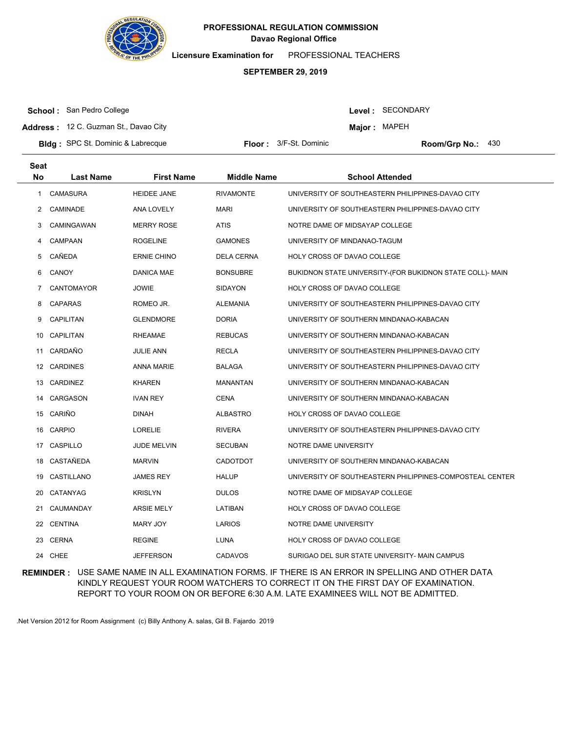

**Licensure Examination for**  PROFESSIONAL TEACHERS

#### **SEPTEMBER 29, 2019**

**School :** San Pedro College

Level : SECONDARY

**Major: MAPEH** 

**Address :** 12 C. Guzman St., Davao City

**Bldg :** SPC St. Dominic & Labrecque **Floor : Room: Floor :** 3/F-St. Dominic **Room/Grp No.:** Floor: 3/F-St. Dominic Room/Grp No.: 430

| <b>Seat</b> |                   |                    |                    |                                                           |
|-------------|-------------------|--------------------|--------------------|-----------------------------------------------------------|
| <b>No</b>   | <b>Last Name</b>  | <b>First Name</b>  | <b>Middle Name</b> | <b>School Attended</b>                                    |
| 1           | <b>CAMASURA</b>   | <b>HEIDEE JANE</b> | <b>RIVAMONTE</b>   | UNIVERSITY OF SOUTHEASTERN PHILIPPINES-DAVAO CITY         |
| 2           | <b>CAMINADE</b>   | ANA LOVELY         | <b>MARI</b>        | UNIVERSITY OF SOUTHEASTERN PHILIPPINES-DAVAO CITY         |
| 3           | <b>CAMINGAWAN</b> | <b>MERRY ROSE</b>  | <b>ATIS</b>        | NOTRE DAME OF MIDSAYAP COLLEGE                            |
| 4           | CAMPAAN           | <b>ROGELINE</b>    | <b>GAMONES</b>     | UNIVERSITY OF MINDANAO-TAGUM                              |
| 5           | CAÑEDA            | <b>ERNIE CHINO</b> | <b>DELA CERNA</b>  | HOLY CROSS OF DAVAO COLLEGE                               |
| 6           | CANOY             | <b>DANICA MAE</b>  | <b>BONSUBRE</b>    | BUKIDNON STATE UNIVERSITY-(FOR BUKIDNON STATE COLL)- MAIN |
| 7           | CANTOMAYOR        | <b>JOWIE</b>       | <b>SIDAYON</b>     | HOLY CROSS OF DAVAO COLLEGE                               |
| 8           | <b>CAPARAS</b>    | ROMEO JR.          | <b>ALEMANIA</b>    | UNIVERSITY OF SOUTHEASTERN PHILIPPINES-DAVAO CITY         |
| 9           | <b>CAPILITAN</b>  | <b>GLENDMORE</b>   | <b>DORIA</b>       | UNIVERSITY OF SOUTHERN MINDANAO-KABACAN                   |
| 10          | CAPILITAN         | <b>RHEAMAE</b>     | <b>REBUCAS</b>     | UNIVERSITY OF SOUTHERN MINDANAO-KABACAN                   |
| 11          | CARDAÑO           | <b>JULIE ANN</b>   | <b>RECLA</b>       | UNIVERSITY OF SOUTHEASTERN PHILIPPINES-DAVAO CITY         |
|             | 12 CARDINES       | <b>ANNA MARIE</b>  | BALAGA             | UNIVERSITY OF SOUTHEASTERN PHILIPPINES-DAVAO CITY         |
|             | 13 CARDINEZ       | <b>KHAREN</b>      | MANANTAN           | UNIVERSITY OF SOUTHERN MINDANAO-KABACAN                   |
| 14          | CARGASON          | <b>IVAN REY</b>    | <b>CENA</b>        | UNIVERSITY OF SOUTHERN MINDANAO-KABACAN                   |
| 15          | CARIÑO            | <b>DINAH</b>       | <b>ALBASTRO</b>    | HOLY CROSS OF DAVAO COLLEGE                               |
| 16          | <b>CARPIO</b>     | <b>LORELIE</b>     | <b>RIVERA</b>      | UNIVERSITY OF SOUTHEASTERN PHILIPPINES-DAVAO CITY         |
| 17          | CASPILLO          | <b>JUDE MELVIN</b> | <b>SECUBAN</b>     | NOTRE DAME UNIVERSITY                                     |
| 18          | CASTAÑEDA         | <b>MARVIN</b>      | <b>CADOTDOT</b>    | UNIVERSITY OF SOUTHERN MINDANAO-KABACAN                   |
| 19          | CASTILLANO        | <b>JAMES REY</b>   | <b>HALUP</b>       | UNIVERSITY OF SOUTHEASTERN PHILIPPINES-COMPOSTEAL CENTER  |
| 20          | CATANYAG          | <b>KRISLYN</b>     | <b>DULOS</b>       | NOTRE DAME OF MIDSAYAP COLLEGE                            |
| 21          | CAUMANDAY         | <b>ARSIE MELY</b>  | LATIBAN            | HOLY CROSS OF DAVAO COLLEGE                               |
| 22          | <b>CENTINA</b>    | <b>MARY JOY</b>    | <b>LARIOS</b>      | NOTRE DAME UNIVERSITY                                     |
| 23          | <b>CERNA</b>      | <b>REGINE</b>      | <b>LUNA</b>        | HOLY CROSS OF DAVAO COLLEGE                               |
|             | 24 CHEE           | <b>JEFFERSON</b>   | <b>CADAVOS</b>     | SURIGAO DEL SUR STATE UNIVERSITY- MAIN CAMPUS             |

**REMINDER :** USE SAME NAME IN ALL EXAMINATION FORMS. IF THERE IS AN ERROR IN SPELLING AND OTHER DATA KINDLY REQUEST YOUR ROOM WATCHERS TO CORRECT IT ON THE FIRST DAY OF EXAMINATION. REPORT TO YOUR ROOM ON OR BEFORE 6:30 A.M. LATE EXAMINEES WILL NOT BE ADMITTED.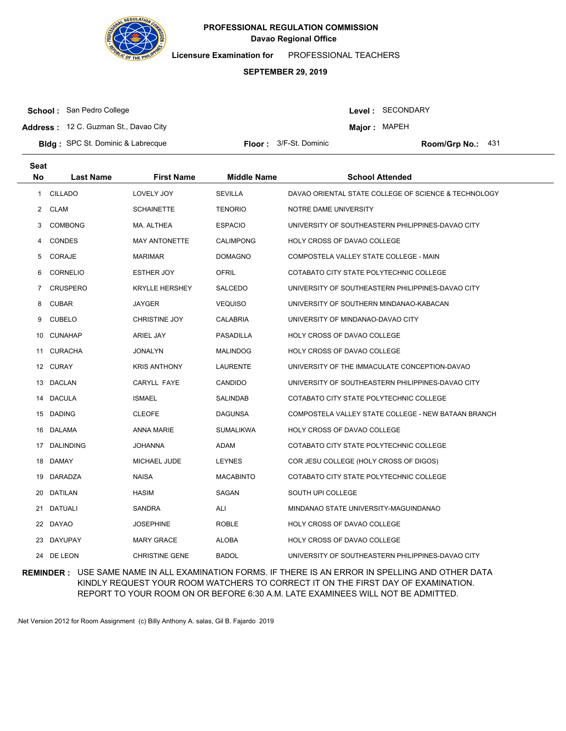

**Licensure Examination for**  PROFESSIONAL TEACHERS

#### **SEPTEMBER 29, 2019**

**School :** San Pedro College

Level : SECONDARY

**Address :** 12 C. Guzman St., Davao City

**Major: MAPEH** 

**Bldg :** SPC St. Dominic & Labrecque **Floor : Room: Floor :** 3/F-St. Dominic **Room/Grp No.:** 

Floor: 3/F-St. Dominic Room/Grp No.: 431

| <b>Seat</b>    |                  |                       |                    |                                                      |
|----------------|------------------|-----------------------|--------------------|------------------------------------------------------|
| <b>No</b>      | <b>Last Name</b> | <b>First Name</b>     | <b>Middle Name</b> | <b>School Attended</b>                               |
| $\mathbf{1}$   | <b>CILLADO</b>   | LOVELY JOY            | <b>SEVILLA</b>     | DAVAO ORIENTAL STATE COLLEGE OF SCIENCE & TECHNOLOGY |
| $\mathbf{2}$   | <b>CLAM</b>      | <b>SCHAINETTE</b>     | <b>TENORIO</b>     | NOTRE DAME UNIVERSITY                                |
| 3              | <b>COMBONG</b>   | MA. ALTHEA            | <b>ESPACIO</b>     | UNIVERSITY OF SOUTHEASTERN PHILIPPINES-DAVAO CITY    |
| 4              | <b>CONDES</b>    | <b>MAY ANTONETTE</b>  | <b>CALIMPONG</b>   | HOLY CROSS OF DAVAO COLLEGE                          |
| 5              | CORAJE           | <b>MARIMAR</b>        | <b>DOMAGNO</b>     | COMPOSTELA VALLEY STATE COLLEGE - MAIN               |
| 6              | <b>CORNELIO</b>  | ESTHER JOY            | <b>OFRIL</b>       | COTABATO CITY STATE POLYTECHNIC COLLEGE              |
| $\overline{7}$ | <b>CRUSPERO</b>  | KRYLLE HERSHEY        | SALCEDO            | UNIVERSITY OF SOUTHEASTERN PHILIPPINES-DAVAO CITY    |
| 8              | <b>CUBAR</b>     | <b>JAYGER</b>         | <b>VEQUISO</b>     | UNIVERSITY OF SOUTHERN MINDANAO-KABACAN              |
| 9              | <b>CUBELO</b>    | <b>CHRISTINE JOY</b>  | <b>CALABRIA</b>    | UNIVERSITY OF MINDANAO-DAVAO CITY                    |
| 10             | <b>CUNAHAP</b>   | ARIEL JAY             | PASADILLA          | HOLY CROSS OF DAVAO COLLEGE                          |
| 11             | <b>CURACHA</b>   | JONALYN               | <b>MALINDOG</b>    | HOLY CROSS OF DAVAO COLLEGE                          |
|                | 12 CURAY         | <b>KRIS ANTHONY</b>   | <b>LAURENTE</b>    | UNIVERSITY OF THE IMMACULATE CONCEPTION-DAVAO        |
|                | 13 DACLAN        | CARYLL FAYE           | CANDIDO            | UNIVERSITY OF SOUTHEASTERN PHILIPPINES-DAVAO CITY    |
| 14             | DACULA           | ISMAEL                | SALINDAB           | COTABATO CITY STATE POLYTECHNIC COLLEGE              |
|                | 15 DADING        | <b>CLEOFE</b>         | <b>DAGUNSA</b>     | COMPOSTELA VALLEY STATE COLLEGE - NEW BATAAN BRANCH  |
| 16             | DALAMA           | ANNA MARIE            | <b>SUMALIKWA</b>   | HOLY CROSS OF DAVAO COLLEGE                          |
|                | 17 DALINDING     | <b>JOHANNA</b>        | ADAM               | COTABATO CITY STATE POLYTECHNIC COLLEGE              |
| 18             | <b>DAMAY</b>     | MICHAEL JUDE          | <b>LEYNES</b>      | COR JESU COLLEGE (HOLY CROSS OF DIGOS)               |
| 19             | DARADZA          | <b>NAISA</b>          | <b>MACABINTO</b>   | COTABATO CITY STATE POLYTECHNIC COLLEGE              |
| 20             | <b>DATILAN</b>   | <b>HASIM</b>          | SAGAN              | SOUTH UPI COLLEGE                                    |
| 21             | DATUALI          | SANDRA                | ALI                | MINDANAO STATE UNIVERSITY-MAGUINDANAO                |
|                | 22 DAYAO         | <b>JOSEPHINE</b>      | <b>ROBLE</b>       | HOLY CROSS OF DAVAO COLLEGE                          |
| 23             | <b>DAYUPAY</b>   | <b>MARY GRACE</b>     | <b>ALOBA</b>       | HOLY CROSS OF DAVAO COLLEGE                          |
|                | 24 DE LEON       | <b>CHRISTINE GENE</b> | <b>BADOL</b>       | UNIVERSITY OF SOUTHEASTERN PHILIPPINES-DAVAO CITY    |

**REMINDER :** USE SAME NAME IN ALL EXAMINATION FORMS. IF THERE IS AN ERROR IN SPELLING AND OTHER DATA KINDLY REQUEST YOUR ROOM WATCHERS TO CORRECT IT ON THE FIRST DAY OF EXAMINATION. REPORT TO YOUR ROOM ON OR BEFORE 6:30 A.M. LATE EXAMINEES WILL NOT BE ADMITTED.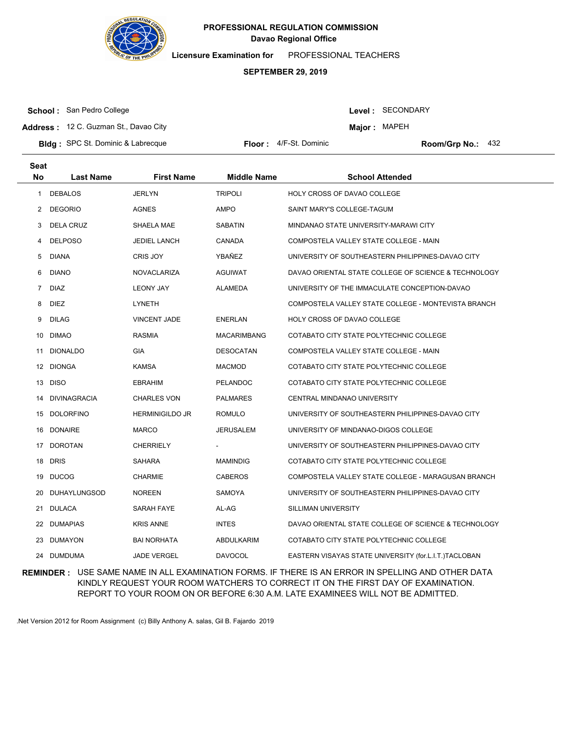

**Licensure Examination for**  PROFESSIONAL TEACHERS

#### **SEPTEMBER 29, 2019**

**School :** San Pedro College

Level : SECONDARY

**Address :** 12 C. Guzman St., Davao City

**Major: MAPEH** 

**Bldg :** SPC St. Dominic & Labrecque **Floor : AIF-St. Dominic Room/Grp No.: Room/Grp No.:** 

Floor: 4/F-St. Dominic Room/Grp No.: 432

| <b>Seat</b> |                     |                        |                    |                                                       |
|-------------|---------------------|------------------------|--------------------|-------------------------------------------------------|
| <b>No</b>   | <b>Last Name</b>    | <b>First Name</b>      | <b>Middle Name</b> | <b>School Attended</b>                                |
| 1.          | <b>DEBALOS</b>      | <b>JERLYN</b>          | <b>TRIPOLI</b>     | HOLY CROSS OF DAVAO COLLEGE                           |
| 2           | <b>DEGORIO</b>      | <b>AGNES</b>           | <b>AMPO</b>        | SAINT MARY'S COLLEGE-TAGUM                            |
| 3           | <b>DELA CRUZ</b>    | SHAELA MAE             | <b>SABATIN</b>     | MINDANAO STATE UNIVERSITY-MARAWI CITY                 |
| 4           | <b>DELPOSO</b>      | <b>JEDIEL LANCH</b>    | <b>CANADA</b>      | COMPOSTELA VALLEY STATE COLLEGE - MAIN                |
| 5           | <b>DIANA</b>        | CRIS JOY               | YBAÑEZ             | UNIVERSITY OF SOUTHEASTERN PHILIPPINES-DAVAO CITY     |
| 6           | <b>DIANO</b>        | <b>NOVACLARIZA</b>     | <b>AGUIWAT</b>     | DAVAO ORIENTAL STATE COLLEGE OF SCIENCE & TECHNOLOGY  |
| 7           | <b>DIAZ</b>         | <b>LEONY JAY</b>       | ALAMEDA            | UNIVERSITY OF THE IMMACULATE CONCEPTION-DAVAO         |
| 8           | <b>DIEZ</b>         | <b>LYNETH</b>          |                    | COMPOSTELA VALLEY STATE COLLEGE - MONTEVISTA BRANCH   |
| 9           | <b>DILAG</b>        | <b>VINCENT JADE</b>    | <b>ENERLAN</b>     | HOLY CROSS OF DAVAO COLLEGE                           |
| 10          | <b>DIMAO</b>        | <b>RASMIA</b>          | <b>MACARIMBANG</b> | COTABATO CITY STATE POLYTECHNIC COLLEGE               |
| 11          | <b>DIONALDO</b>     | <b>GIA</b>             | <b>DESOCATAN</b>   | COMPOSTELA VALLEY STATE COLLEGE - MAIN                |
|             | 12 DIONGA           | <b>KAMSA</b>           | <b>MACMOD</b>      | COTABATO CITY STATE POLYTECHNIC COLLEGE               |
|             | 13 DISO             | <b>EBRAHIM</b>         | PELANDOC           | COTABATO CITY STATE POLYTECHNIC COLLEGE               |
| 14          | <b>DIVINAGRACIA</b> | <b>CHARLES VON</b>     | <b>PALMARES</b>    | <b>CENTRAL MINDANAO UNIVERSITY</b>                    |
| 15          | <b>DOLORFINO</b>    | <b>HERMINIGILDO JR</b> | <b>ROMULO</b>      | UNIVERSITY OF SOUTHEASTERN PHILIPPINES-DAVAO CITY     |
| 16          | <b>DONAIRE</b>      | <b>MARCO</b>           | JERUSALEM          | UNIVERSITY OF MINDANAO-DIGOS COLLEGE                  |
| 17          | <b>DOROTAN</b>      | <b>CHERRIELY</b>       |                    | UNIVERSITY OF SOUTHEASTERN PHILIPPINES-DAVAO CITY     |
| 18          | <b>DRIS</b>         | SAHARA                 | <b>MAMINDIG</b>    | COTABATO CITY STATE POLYTECHNIC COLLEGE               |
| 19          | <b>DUCOG</b>        | CHARMIE                | <b>CABEROS</b>     | COMPOSTELA VALLEY STATE COLLEGE - MARAGUSAN BRANCH    |
| 20          | <b>DUHAYLUNGSOD</b> | <b>NOREEN</b>          | SAMOYA             | UNIVERSITY OF SOUTHEASTERN PHILIPPINES-DAVAO CITY     |
| 21          | DULACA              | SARAH FAYE             | AL-AG              | SILLIMAN UNIVERSITY                                   |
| 22          | <b>DUMAPIAS</b>     | <b>KRIS ANNE</b>       | <b>INTES</b>       | DAVAO ORIENTAL STATE COLLEGE OF SCIENCE & TECHNOLOGY  |
| 23          | DUMAYON             | <b>BAI NORHATA</b>     | ABDULKARIM         | COTABATO CITY STATE POLYTECHNIC COLLEGE               |
|             | 24 DUMDUMA          | <b>JADE VERGEL</b>     | <b>DAVOCOL</b>     | EASTERN VISAYAS STATE UNIVERSITY (for.L.I.T.)TACLOBAN |

**REMINDER :** USE SAME NAME IN ALL EXAMINATION FORMS. IF THERE IS AN ERROR IN SPELLING AND OTHER DATA KINDLY REQUEST YOUR ROOM WATCHERS TO CORRECT IT ON THE FIRST DAY OF EXAMINATION. REPORT TO YOUR ROOM ON OR BEFORE 6:30 A.M. LATE EXAMINEES WILL NOT BE ADMITTED.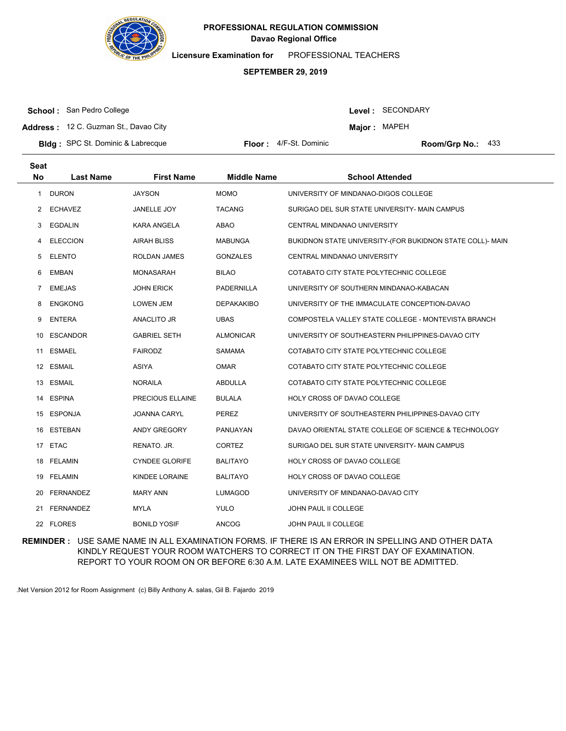

**Licensure Examination for**  PROFESSIONAL TEACHERS

#### **SEPTEMBER 29, 2019**

**School :** San Pedro College

Level : SECONDARY

**Major: MAPEH** 

**Address :** 12 C. Guzman St., Davao City

**Bldg :** SPC St. Dominic & Labrecque **Floor : AIF-St. Dominic Room/Grp No.: Room/Grp No.:** Floor: 4/F-St. Dominic Room/Grp No.: 433

| <b>Seat</b><br><b>No</b> | <b>Last Name</b> | <b>First Name</b>     | <b>Middle Name</b> | <b>School Attended</b>                                    |
|--------------------------|------------------|-----------------------|--------------------|-----------------------------------------------------------|
| 1                        | <b>DURON</b>     | <b>JAYSON</b>         | <b>MOMO</b>        | UNIVERSITY OF MINDANAO-DIGOS COLLEGE                      |
| 2                        | <b>ECHAVEZ</b>   | <b>JANELLE JOY</b>    | <b>TACANG</b>      | SURIGAO DEL SUR STATE UNIVERSITY- MAIN CAMPUS             |
| 3                        | <b>EGDALIN</b>   | KARA ANGELA           | ABAO               | CENTRAL MINDANAO UNIVERSITY                               |
| 4                        | <b>ELECCION</b>  | <b>AIRAH BLISS</b>    | <b>MABUNGA</b>     | BUKIDNON STATE UNIVERSITY-(FOR BUKIDNON STATE COLL)- MAIN |
| 5                        | <b>ELENTO</b>    | ROLDAN JAMES          | <b>GONZALES</b>    | CENTRAL MINDANAO UNIVERSITY                               |
| 6                        | <b>EMBAN</b>     | <b>MONASARAH</b>      | <b>BILAO</b>       | COTABATO CITY STATE POLYTECHNIC COLLEGE                   |
| 7                        | <b>EMEJAS</b>    | <b>JOHN ERICK</b>     | PADERNILLA         | UNIVERSITY OF SOUTHERN MINDANAO-KABACAN                   |
| 8                        | <b>ENGKONG</b>   | <b>LOWEN JEM</b>      | <b>DEPAKAKIBO</b>  | UNIVERSITY OF THE IMMACULATE CONCEPTION-DAVAO             |
| 9                        | <b>ENTERA</b>    | ANACLITO JR           | <b>UBAS</b>        | COMPOSTELA VALLEY STATE COLLEGE - MONTEVISTA BRANCH       |
| 10                       | <b>ESCANDOR</b>  | <b>GABRIEL SETH</b>   | <b>ALMONICAR</b>   | UNIVERSITY OF SOUTHEASTERN PHILIPPINES-DAVAO CITY         |
| 11                       | <b>ESMAEL</b>    | <b>FAIRODZ</b>        | <b>SAMAMA</b>      | COTABATO CITY STATE POLYTECHNIC COLLEGE                   |
|                          | 12 ESMAIL        | ASIYA                 | <b>OMAR</b>        | COTABATO CITY STATE POLYTECHNIC COLLEGE                   |
| 13                       | <b>ESMAIL</b>    | <b>NORAILA</b>        | <b>ABDULLA</b>     | COTABATO CITY STATE POLYTECHNIC COLLEGE                   |
| 14                       | <b>ESPINA</b>    | PRECIOUS ELLAINE      | <b>BULALA</b>      | HOLY CROSS OF DAVAO COLLEGE                               |
|                          | 15 ESPONJA       | JOANNA CARYL          | <b>PEREZ</b>       | UNIVERSITY OF SOUTHEASTERN PHILIPPINES-DAVAO CITY         |
| 16                       | <b>ESTEBAN</b>   | ANDY GREGORY          | PANUAYAN           | DAVAO ORIENTAL STATE COLLEGE OF SCIENCE & TECHNOLOGY      |
| 17                       | <b>ETAC</b>      | RENATO. JR.           | CORTEZ             | SURIGAO DEL SUR STATE UNIVERSITY- MAIN CAMPUS             |
| 18                       | FELAMIN          | <b>CYNDEE GLORIFE</b> | <b>BALITAYO</b>    | HOLY CROSS OF DAVAO COLLEGE                               |
| 19                       | <b>FELAMIN</b>   | KINDEE LORAINE        | <b>BALITAYO</b>    | HOLY CROSS OF DAVAO COLLEGE                               |
|                          | 20 FERNANDEZ     | <b>MARY ANN</b>       | <b>LUMAGOD</b>     | UNIVERSITY OF MINDANAO-DAVAO CITY                         |
| 21                       | <b>FERNANDEZ</b> | MYLA                  | YULO               | JOHN PAUL II COLLEGE                                      |
|                          | 22 FLORES        | <b>BONILD YOSIF</b>   | <b>ANCOG</b>       | JOHN PAUL II COLLEGE                                      |

**REMINDER :** USE SAME NAME IN ALL EXAMINATION FORMS. IF THERE IS AN ERROR IN SPELLING AND OTHER DATA KINDLY REQUEST YOUR ROOM WATCHERS TO CORRECT IT ON THE FIRST DAY OF EXAMINATION. REPORT TO YOUR ROOM ON OR BEFORE 6:30 A.M. LATE EXAMINEES WILL NOT BE ADMITTED.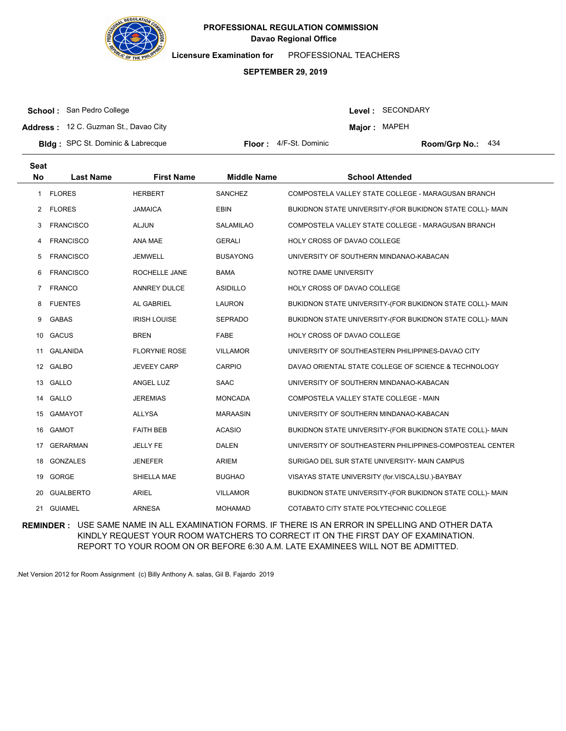

**Licensure Examination for**  PROFESSIONAL TEACHERS

#### **SEPTEMBER 29, 2019**

**School :** San Pedro College

Level : SECONDARY

**Major: MAPEH** 

**Address :** 12 C. Guzman St., Davao City

**Bldg :** SPC St. Dominic & Labrecque **Floor : AIF-St. Dominic Room/Grp No.: Room/Grp No.:** 

Floor: 4/F-St. Dominic Room/Grp No.: 434

| <b>Seat</b>    |                  |                      |                    |                                                           |
|----------------|------------------|----------------------|--------------------|-----------------------------------------------------------|
| <b>No</b>      | <b>Last Name</b> | <b>First Name</b>    | <b>Middle Name</b> | <b>School Attended</b>                                    |
| 1              | <b>FLORES</b>    | <b>HERBERT</b>       | <b>SANCHEZ</b>     | COMPOSTELA VALLEY STATE COLLEGE - MARAGUSAN BRANCH        |
| $\overline{2}$ | <b>FLORES</b>    | <b>JAMAICA</b>       | <b>EBIN</b>        | BUKIDNON STATE UNIVERSITY-(FOR BUKIDNON STATE COLL)- MAIN |
| 3              | <b>FRANCISCO</b> | <b>ALJUN</b>         | <b>SALAMILAO</b>   | COMPOSTELA VALLEY STATE COLLEGE - MARAGUSAN BRANCH        |
| 4              | <b>FRANCISCO</b> | ANA MAE              | <b>GERALI</b>      | HOLY CROSS OF DAVAO COLLEGE                               |
| 5              | <b>FRANCISCO</b> | <b>JEMWELL</b>       | <b>BUSAYONG</b>    | UNIVERSITY OF SOUTHERN MINDANAO-KABACAN                   |
| 6              | <b>FRANCISCO</b> | ROCHELLE JANE        | <b>BAMA</b>        | NOTRE DAME UNIVERSITY                                     |
| $7^{\circ}$    | <b>FRANCO</b>    | <b>ANNREY DULCE</b>  | <b>ASIDILLO</b>    | HOLY CROSS OF DAVAO COLLEGE                               |
| 8              | <b>FUENTES</b>   | AL GABRIEL           | <b>LAURON</b>      | BUKIDNON STATE UNIVERSITY-(FOR BUKIDNON STATE COLL)- MAIN |
| 9              | <b>GABAS</b>     | <b>IRISH LOUISE</b>  | <b>SEPRADO</b>     | BUKIDNON STATE UNIVERSITY-(FOR BUKIDNON STATE COLL)- MAIN |
| 10             | <b>GACUS</b>     | <b>BREN</b>          | FABE               | HOLY CROSS OF DAVAO COLLEGE                               |
| 11             | <b>GALANIDA</b>  | <b>FLORYNIE ROSE</b> | <b>VILLAMOR</b>    | UNIVERSITY OF SOUTHEASTERN PHILIPPINES-DAVAO CITY         |
| 12             | <b>GALBO</b>     | <b>JEVEEY CARP</b>   | <b>CARPIO</b>      | DAVAO ORIENTAL STATE COLLEGE OF SCIENCE & TECHNOLOGY      |
| 13             | <b>GALLO</b>     | ANGEL LUZ            | SAAC               | UNIVERSITY OF SOUTHERN MINDANAO-KABACAN                   |
| 14             | <b>GALLO</b>     | <b>JEREMIAS</b>      | <b>MONCADA</b>     | COMPOSTELA VALLEY STATE COLLEGE - MAIN                    |
| 15             | GAMAYOT          | <b>ALLYSA</b>        | <b>MARAASIN</b>    | UNIVERSITY OF SOUTHERN MINDANAO-KABACAN                   |
| 16             | <b>GAMOT</b>     | <b>FAITH BEB</b>     | <b>ACASIO</b>      | BUKIDNON STATE UNIVERSITY-(FOR BUKIDNON STATE COLL)- MAIN |
| 17             | <b>GERARMAN</b>  | JELLY FE             | <b>DALEN</b>       | UNIVERSITY OF SOUTHEASTERN PHILIPPINES-COMPOSTEAL CENTER  |
| 18             | <b>GONZALES</b>  | <b>JENEFER</b>       | <b>ARIEM</b>       | SURIGAO DEL SUR STATE UNIVERSITY- MAIN CAMPUS             |
| 19             | GORGE            | SHIELLA MAE          | <b>BUGHAO</b>      | VISAYAS STATE UNIVERSITY (for.VISCA,LSU.)-BAYBAY          |
| 20             | <b>GUALBERTO</b> | <b>ARIEL</b>         | <b>VILLAMOR</b>    | BUKIDNON STATE UNIVERSITY-(FOR BUKIDNON STATE COLL)- MAIN |
|                | 21 GUIAMEL       | <b>ARNESA</b>        | <b>MOHAMAD</b>     | COTABATO CITY STATE POLYTECHNIC COLLEGE                   |

**REMINDER :** USE SAME NAME IN ALL EXAMINATION FORMS. IF THERE IS AN ERROR IN SPELLING AND OTHER DATA KINDLY REQUEST YOUR ROOM WATCHERS TO CORRECT IT ON THE FIRST DAY OF EXAMINATION. REPORT TO YOUR ROOM ON OR BEFORE 6:30 A.M. LATE EXAMINEES WILL NOT BE ADMITTED.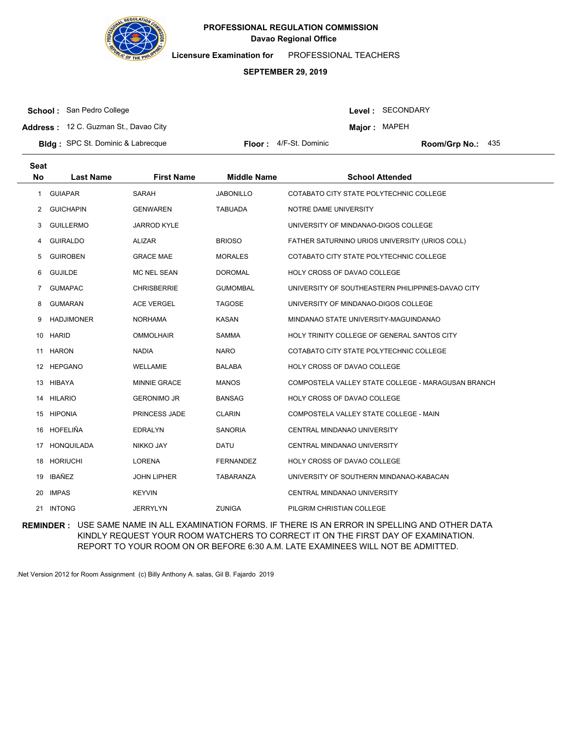

**Licensure Examination for**  PROFESSIONAL TEACHERS

#### **SEPTEMBER 29, 2019**

**School :** San Pedro College

Level : SECONDARY

**Major: MAPEH** 

**Address :** 12 C. Guzman St., Davao City

**Bldg :** SPC St. Dominic & Labrecque **Floor : AIF-St. Dominic Room/Grp No.: Room/Grp No.:** 

Floor: 4/F-St. Dominic Room/Grp No.: 435

| <b>Seat</b>  |                   |                    |                    |                                                    |
|--------------|-------------------|--------------------|--------------------|----------------------------------------------------|
| <b>No</b>    | <b>Last Name</b>  | <b>First Name</b>  | <b>Middle Name</b> | <b>School Attended</b>                             |
| $\mathbf{1}$ | <b>GUIAPAR</b>    | SARAH              | <b>JABONILLO</b>   | COTABATO CITY STATE POLYTECHNIC COLLEGE            |
| 2            | <b>GUICHAPIN</b>  | <b>GENWAREN</b>    | <b>TABUADA</b>     | NOTRE DAME UNIVERSITY                              |
| 3            | <b>GUILLERMO</b>  | <b>JARROD KYLE</b> |                    | UNIVERSITY OF MINDANAO-DIGOS COLLEGE               |
| 4            | <b>GUIRALDO</b>   | <b>ALIZAR</b>      | <b>BRIOSO</b>      | FATHER SATURNINO URIOS UNIVERSITY (URIOS COLL)     |
| 5            | <b>GUIROBEN</b>   | <b>GRACE MAE</b>   | <b>MORALES</b>     | COTABATO CITY STATE POLYTECHNIC COLLEGE            |
| 6            | <b>GUJILDE</b>    | <b>MC NEL SEAN</b> | <b>DOROMAL</b>     | <b>HOLY CROSS OF DAVAO COLLEGE</b>                 |
| 7            | <b>GUMAPAC</b>    | <b>CHRISBERRIE</b> | <b>GUMOMBAL</b>    | UNIVERSITY OF SOUTHEASTERN PHILIPPINES-DAVAO CITY  |
| 8            | <b>GUMARAN</b>    | <b>ACE VERGEL</b>  | <b>TAGOSE</b>      | UNIVERSITY OF MINDANAO-DIGOS COLLEGE               |
| 9            | <b>HADJIMONER</b> | <b>NORHAMA</b>     | KASAN              | MINDANAO STATE UNIVERSITY-MAGUINDANAO              |
| 10           | <b>HARID</b>      | <b>OMMOLHAIR</b>   | <b>SAMMA</b>       | HOLY TRINITY COLLEGE OF GENERAL SANTOS CITY        |
| 11           | <b>HARON</b>      | <b>NADIA</b>       | <b>NARO</b>        | COTABATO CITY STATE POLYTECHNIC COLLEGE            |
| 12           | <b>HEPGANO</b>    | WELLAMIE           | <b>BALABA</b>      | <b>HOLY CROSS OF DAVAO COLLEGE</b>                 |
| 13           | HIBAYA            | MINNIE GRACE       | <b>MANOS</b>       | COMPOSTELA VALLEY STATE COLLEGE - MARAGUSAN BRANCH |
| 14           | <b>HILARIO</b>    | <b>GERONIMO JR</b> | <b>BANSAG</b>      | HOLY CROSS OF DAVAO COLLEGE                        |
| 15           | <b>HIPONIA</b>    | PRINCESS JADE      | <b>CLARIN</b>      | COMPOSTELA VALLEY STATE COLLEGE - MAIN             |
| 16           | HOFELIÑA          | <b>EDRALYN</b>     | <b>SANORIA</b>     | CENTRAL MINDANAO UNIVERSITY                        |
| 17           | <b>HONQUILADA</b> | NIKKO JAY          | <b>DATU</b>        | CENTRAL MINDANAO UNIVERSITY                        |
| 18           | <b>HORIUCHI</b>   | <b>LORENA</b>      | <b>FERNANDEZ</b>   | HOLY CROSS OF DAVAO COLLEGE                        |
| 19           | IBAÑEZ            | <b>JOHN LIPHER</b> | TABARANZA          | UNIVERSITY OF SOUTHERN MINDANAO-KABACAN            |
| 20           | <b>IMPAS</b>      | <b>KEYVIN</b>      |                    | CENTRAL MINDANAO UNIVERSITY                        |
| 21           | <b>INTONG</b>     | <b>JERRYLYN</b>    | <b>ZUNIGA</b>      | PILGRIM CHRISTIAN COLLEGE                          |

**REMINDER :** USE SAME NAME IN ALL EXAMINATION FORMS. IF THERE IS AN ERROR IN SPELLING AND OTHER DATA KINDLY REQUEST YOUR ROOM WATCHERS TO CORRECT IT ON THE FIRST DAY OF EXAMINATION. REPORT TO YOUR ROOM ON OR BEFORE 6:30 A.M. LATE EXAMINEES WILL NOT BE ADMITTED.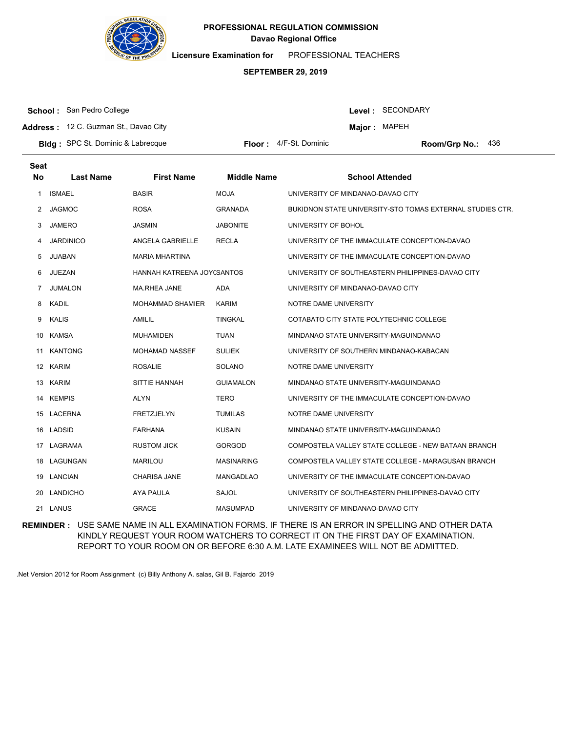

**Licensure Examination for**  PROFESSIONAL TEACHERS

#### **SEPTEMBER 29, 2019**

**School :** San Pedro College

Level : SECONDARY

**Major: MAPEH** 

**Address :** 12 C. Guzman St., Davao City

**Bldg :** SPC St. Dominic & Labrecque **Floor : AIF-St. Dominic Room/Grp No.: Room/Grp No.:** 

Floor: 4/F-St. Dominic Room/Grp No.: 436

| <b>Seat</b><br><b>No</b> | <b>Last Name</b> | <b>First Name</b>          | <b>Middle Name</b> | <b>School Attended</b>                                    |
|--------------------------|------------------|----------------------------|--------------------|-----------------------------------------------------------|
| 1                        | <b>ISMAEL</b>    | <b>BASIR</b>               | <b>MOJA</b>        | UNIVERSITY OF MINDANAO-DAVAO CITY                         |
| $\mathbf{2}^{\circ}$     | <b>JAGMOC</b>    | <b>ROSA</b>                | <b>GRANADA</b>     | BUKIDNON STATE UNIVERSITY-STO TOMAS EXTERNAL STUDIES CTR. |
| 3                        | <b>JAMERO</b>    | <b>JASMIN</b>              | <b>JABONITE</b>    | UNIVERSITY OF BOHOL                                       |
| 4                        | <b>JARDINICO</b> | ANGELA GABRIELLE           | <b>RECLA</b>       | UNIVERSITY OF THE IMMACULATE CONCEPTION-DAVAO             |
| 5                        | <b>JUABAN</b>    | <b>MARIA MHARTINA</b>      |                    | UNIVERSITY OF THE IMMACULATE CONCEPTION-DAVAO             |
| 6                        | <b>JUEZAN</b>    | HANNAH KATREENA JOYCSANTOS |                    | UNIVERSITY OF SOUTHEASTERN PHILIPPINES-DAVAO CITY         |
| 7                        | <b>JUMALON</b>   | <b>MA.RHEA JANE</b>        | <b>ADA</b>         | UNIVERSITY OF MINDANAO-DAVAO CITY                         |
| 8                        | <b>KADIL</b>     | <b>MOHAMMAD SHAMIER</b>    | <b>KARIM</b>       | NOTRE DAME UNIVERSITY                                     |
| 9                        | <b>KALIS</b>     | <b>AMILIL</b>              | <b>TINGKAL</b>     | COTABATO CITY STATE POLYTECHNIC COLLEGE                   |
| 10                       | <b>KAMSA</b>     | <b>MUHAMIDEN</b>           | <b>TUAN</b>        | MINDANAO STATE UNIVERSITY-MAGUINDANAO                     |
| 11                       | <b>KANTONG</b>   | MOHAMAD NASSEF             | <b>SULIEK</b>      | UNIVERSITY OF SOUTHERN MINDANAO-KABACAN                   |
|                          | 12 KARIM         | <b>ROSALIE</b>             | SOLANO             | NOTRE DAME UNIVERSITY                                     |
| 13                       | <b>KARIM</b>     | SITTIE HANNAH              | <b>GUIAMALON</b>   | MINDANAO STATE UNIVERSITY-MAGUINDANAO                     |
| 14                       | <b>KEMPIS</b>    | <b>ALYN</b>                | <b>TERO</b>        | UNIVERSITY OF THE IMMACULATE CONCEPTION-DAVAO             |
|                          | 15 LACERNA       | <b>FRETZJELYN</b>          | <b>TUMILAS</b>     | NOTRE DAME UNIVERSITY                                     |
| 16                       | LADSID           | <b>FARHANA</b>             | <b>KUSAIN</b>      | MINDANAO STATE UNIVERSITY-MAGUINDANAO                     |
| 17                       | LAGRAMA          | <b>RUSTOM JICK</b>         | <b>GORGOD</b>      | COMPOSTELA VALLEY STATE COLLEGE - NEW BATAAN BRANCH       |
| 18                       | LAGUNGAN         | <b>MARILOU</b>             | <b>MASINARING</b>  | COMPOSTELA VALLEY STATE COLLEGE - MARAGUSAN BRANCH        |
|                          | 19 LANCIAN       | <b>CHARISA JANE</b>        | <b>MANGADLAO</b>   | UNIVERSITY OF THE IMMACULATE CONCEPTION-DAVAO             |
| 20                       | <b>LANDICHO</b>  | AYA PAULA                  | <b>SAJOL</b>       | UNIVERSITY OF SOUTHEASTERN PHILIPPINES-DAVAO CITY         |
|                          | 21 LANUS         | <b>GRACE</b>               | <b>MASUMPAD</b>    | UNIVERSITY OF MINDANAO-DAVAO CITY                         |

**REMINDER :** USE SAME NAME IN ALL EXAMINATION FORMS. IF THERE IS AN ERROR IN SPELLING AND OTHER DATA KINDLY REQUEST YOUR ROOM WATCHERS TO CORRECT IT ON THE FIRST DAY OF EXAMINATION. REPORT TO YOUR ROOM ON OR BEFORE 6:30 A.M. LATE EXAMINEES WILL NOT BE ADMITTED.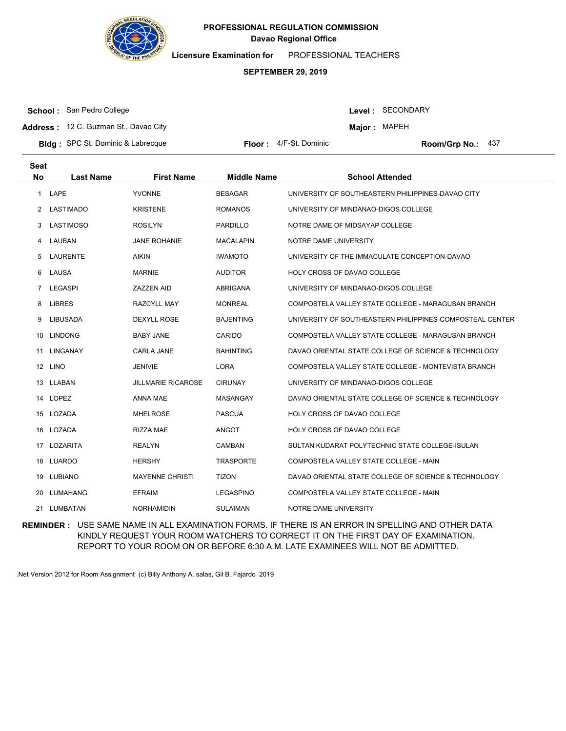

**Licensure Examination for**  PROFESSIONAL TEACHERS

#### **SEPTEMBER 29, 2019**

**School :** San Pedro College

Level : SECONDARY

**Address :** 12 C. Guzman St., Davao City

**Major: MAPEH** 

**Bldg :** SPC St. Dominic & Labrecque **Floor : AIF-St. Dominic Room/Grp No.: Room/Grp No.:** 

Floor: 4/F-St. Dominic Room/Grp No.: 437

| <b>Seat</b>  |                  |                           |                    |                                                          |
|--------------|------------------|---------------------------|--------------------|----------------------------------------------------------|
| <b>No</b>    | <b>Last Name</b> | <b>First Name</b>         | <b>Middle Name</b> | <b>School Attended</b>                                   |
| $\mathbf{1}$ | LAPE             | <b>YVONNE</b>             | <b>BESAGAR</b>     | UNIVERSITY OF SOUTHEASTERN PHILIPPINES-DAVAO CITY        |
| 2            | <b>LASTIMADO</b> | <b>KRISTENE</b>           | <b>ROMANOS</b>     | UNIVERSITY OF MINDANAO-DIGOS COLLEGE                     |
| 3            | <b>LASTIMOSO</b> | <b>ROSILYN</b>            | PARDILLO           | NOTRE DAME OF MIDSAYAP COLLEGE                           |
| 4            | LAUBAN           | <b>JANE ROHANIE</b>       | <b>MACALAPIN</b>   | NOTRE DAME UNIVERSITY                                    |
| 5            | <b>LAURENTE</b>  | <b>AIKIN</b>              | <b>IWAMOTO</b>     | UNIVERSITY OF THE IMMACULATE CONCEPTION-DAVAO            |
| 6            | LAUSA            | <b>MARNIE</b>             | <b>AUDITOR</b>     | <b>HOLY CROSS OF DAVAO COLLEGE</b>                       |
| 7            | LEGASPI          | <b>ZAZZEN AID</b>         | ABRIGANA           | UNIVERSITY OF MINDANAO-DIGOS COLLEGE                     |
| 8            | <b>LIBRES</b>    | RAZCYLL MAY               | <b>MONREAL</b>     | COMPOSTELA VALLEY STATE COLLEGE - MARAGUSAN BRANCH       |
| 9            | <b>LIBUSADA</b>  | <b>DEXYLL ROSE</b>        | <b>BAJENTING</b>   | UNIVERSITY OF SOUTHEASTERN PHILIPPINES-COMPOSTEAL CENTER |
| 10           | <b>LINDONG</b>   | <b>BABY JANE</b>          | CARIDO             | COMPOSTELA VALLEY STATE COLLEGE - MARAGUSAN BRANCH       |
| 11           | LINGANAY         | CARLA JANE                | <b>BAHINTING</b>   | DAVAO ORIENTAL STATE COLLEGE OF SCIENCE & TECHNOLOGY     |
| 12           | <b>LINO</b>      | <b>JENIVIE</b>            | <b>LORA</b>        | COMPOSTELA VALLEY STATE COLLEGE - MONTEVISTA BRANCH      |
|              | 13 LLABAN        | <b>JILLMARIE RICAROSE</b> | <b>CIRUNAY</b>     | UNIVERSITY OF MINDANAO-DIGOS COLLEGE                     |
|              | 14 LOPEZ         | <b>ANNA MAE</b>           | MASANGAY           | DAVAO ORIENTAL STATE COLLEGE OF SCIENCE & TECHNOLOGY     |
| 15           | LOZADA           | <b>MHELROSE</b>           | <b>PASCUA</b>      | <b>HOLY CROSS OF DAVAO COLLEGE</b>                       |
| 16           | LOZADA           | <b>RIZZA MAE</b>          | <b>ANGOT</b>       | <b>HOLY CROSS OF DAVAO COLLEGE</b>                       |
| 17           | LOZARITA         | <b>REALYN</b>             | <b>CAMBAN</b>      | SULTAN KUDARAT POLYTECHNIC STATE COLLEGE-ISULAN          |
|              | 18 LUARDO        | <b>HERSHY</b>             | <b>TRASPORTE</b>   | COMPOSTELA VALLEY STATE COLLEGE - MAIN                   |
| 19           | LUBIANO          | <b>MAYENNE CHRISTI</b>    | <b>TIZON</b>       | DAVAO ORIENTAL STATE COLLEGE OF SCIENCE & TECHNOLOGY     |
| 20           | <b>LUMAHANG</b>  | <b>EFRAIM</b>             | <b>LEGASPINO</b>   | COMPOSTELA VALLEY STATE COLLEGE - MAIN                   |
|              | 21 LUMBATAN      | <b>NORHAMIDIN</b>         | <b>SULAIMAN</b>    | NOTRE DAME UNIVERSITY                                    |

**REMINDER :** USE SAME NAME IN ALL EXAMINATION FORMS. IF THERE IS AN ERROR IN SPELLING AND OTHER DATA KINDLY REQUEST YOUR ROOM WATCHERS TO CORRECT IT ON THE FIRST DAY OF EXAMINATION. REPORT TO YOUR ROOM ON OR BEFORE 6:30 A.M. LATE EXAMINEES WILL NOT BE ADMITTED.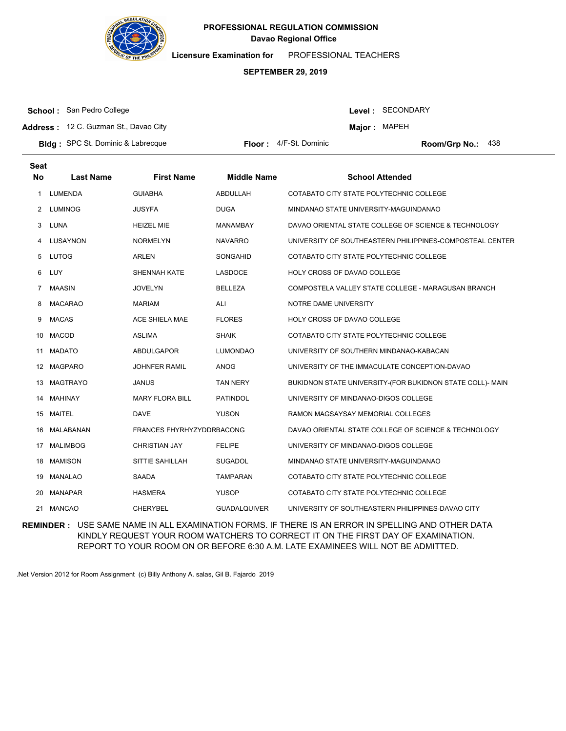

**Licensure Examination for**  PROFESSIONAL TEACHERS

#### **SEPTEMBER 29, 2019**

**School :** San Pedro College

Level : SECONDARY

**Major: MAPEH** 

**Address :** 12 C. Guzman St., Davao City

**Bldg :** SPC St. Dominic & Labrecque **Floor : AIF-St. Dominic Room/Grp No.: Room/Grp No.:** 

Floor: 4/F-St. Dominic Room/Grp No.: 438

| <b>Seat</b>           |                  |                                  |                     |                                                           |
|-----------------------|------------------|----------------------------------|---------------------|-----------------------------------------------------------|
| <b>No</b>             | <b>Last Name</b> | <b>First Name</b>                | <b>Middle Name</b>  | <b>School Attended</b>                                    |
| 1                     | <b>LUMENDA</b>   | <b>GUIABHA</b>                   | ABDULLAH            | COTABATO CITY STATE POLYTECHNIC COLLEGE                   |
| $\mathbf{2}^{\prime}$ | <b>LUMINOG</b>   | JUSYFA                           | <b>DUGA</b>         | MINDANAO STATE UNIVERSITY-MAGUINDANAO                     |
| 3                     | <b>LUNA</b>      | <b>HEIZEL MIE</b>                | <b>MANAMBAY</b>     | DAVAO ORIENTAL STATE COLLEGE OF SCIENCE & TECHNOLOGY      |
| 4                     | LUSAYNON         | <b>NORMELYN</b>                  | <b>NAVARRO</b>      | UNIVERSITY OF SOUTHEASTERN PHILIPPINES-COMPOSTEAL CENTER  |
| 5                     | <b>LUTOG</b>     | ARLEN                            | SONGAHID            | COTABATO CITY STATE POLYTECHNIC COLLEGE                   |
| 6                     | LUY              | SHENNAH KATE                     | <b>LASDOCE</b>      | <b>HOLY CROSS OF DAVAO COLLEGE</b>                        |
| 7                     | <b>MAASIN</b>    | JOVELYN                          | <b>BELLEZA</b>      | COMPOSTELA VALLEY STATE COLLEGE - MARAGUSAN BRANCH        |
| 8                     | <b>MACARAO</b>   | <b>MARIAM</b>                    | ALI                 | NOTRE DAME UNIVERSITY                                     |
| 9                     | <b>MACAS</b>     | ACE SHIELA MAE                   | <b>FLORES</b>       | <b>HOLY CROSS OF DAVAO COLLEGE</b>                        |
| 10.                   | <b>MACOD</b>     | <b>ASLIMA</b>                    | <b>SHAIK</b>        | COTABATO CITY STATE POLYTECHNIC COLLEGE                   |
| 11                    | <b>MADATO</b>    | ABDULGAPOR                       | <b>LUMONDAO</b>     | UNIVERSITY OF SOUTHERN MINDANAO-KABACAN                   |
| 12                    | <b>MAGPARO</b>   | JOHNFER RAMIL                    | <b>ANOG</b>         | UNIVERSITY OF THE IMMACULATE CONCEPTION-DAVAO             |
| 13                    | <b>MAGTRAYO</b>  | <b>JANUS</b>                     | <b>TAN NERY</b>     | BUKIDNON STATE UNIVERSITY-(FOR BUKIDNON STATE COLL)- MAIN |
| 14                    | <b>MAHINAY</b>   | <b>MARY FLORA BILL</b>           | <b>PATINDOL</b>     | UNIVERSITY OF MINDANAO-DIGOS COLLEGE                      |
| 15                    | MAITEL           | <b>DAVE</b>                      | <b>YUSON</b>        | RAMON MAGSAYSAY MEMORIAL COLLEGES                         |
| 16                    | MALABANAN        | <b>FRANCES FHYRHYZYDDRBACONG</b> |                     | DAVAO ORIENTAL STATE COLLEGE OF SCIENCE & TECHNOLOGY      |
| 17                    | <b>MALIMBOG</b>  | <b>CHRISTIAN JAY</b>             | <b>FELIPE</b>       | UNIVERSITY OF MINDANAO-DIGOS COLLEGE                      |
| 18                    | MAMISON          | SITTIE SAHILLAH                  | <b>SUGADOL</b>      | MINDANAO STATE UNIVERSITY-MAGUINDANAO                     |
| 19                    | <b>MANALAO</b>   | <b>SAADA</b>                     | <b>TAMPARAN</b>     | COTABATO CITY STATE POLYTECHNIC COLLEGE                   |
| 20                    | <b>MANAPAR</b>   | <b>HASMERA</b>                   | <b>YUSOP</b>        | COTABATO CITY STATE POLYTECHNIC COLLEGE                   |
| 21                    | MANCAO           | <b>CHERYBEL</b>                  | <b>GUADALQUIVER</b> | UNIVERSITY OF SOUTHEASTERN PHILIPPINES-DAVAO CITY         |

**REMINDER :** USE SAME NAME IN ALL EXAMINATION FORMS. IF THERE IS AN ERROR IN SPELLING AND OTHER DATA KINDLY REQUEST YOUR ROOM WATCHERS TO CORRECT IT ON THE FIRST DAY OF EXAMINATION. REPORT TO YOUR ROOM ON OR BEFORE 6:30 A.M. LATE EXAMINEES WILL NOT BE ADMITTED.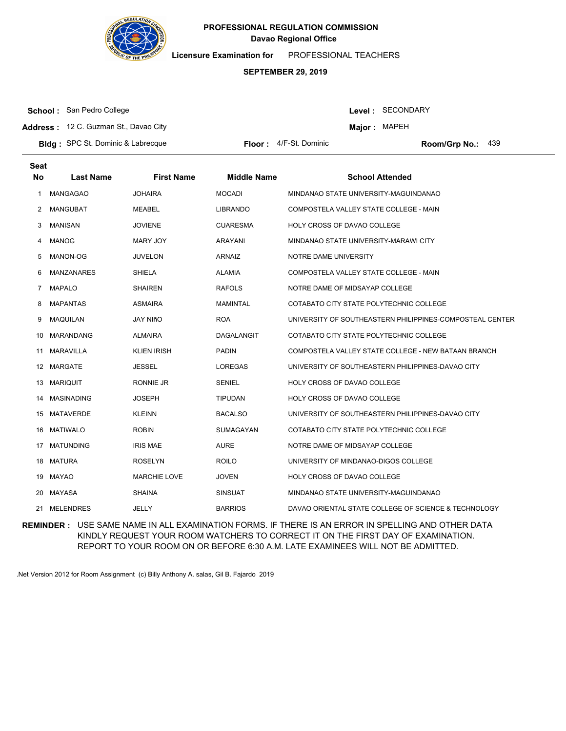

**Licensure Examination for**  PROFESSIONAL TEACHERS

#### **SEPTEMBER 29, 2019**

**School :** San Pedro College

Level : SECONDARY

**Major: MAPEH** 

**Address :** 12 C. Guzman St., Davao City

**Bldg :** SPC St. Dominic & Labrecque **Floor : AIF-St. Dominic Room/Grp No.: Room/Grp No.:** Floor: 4/F-St. Dominic Room/Grp No.: 439

| <b>Seat</b><br><b>No</b> | <b>Last Name</b>  | <b>First Name</b>   | <b>Middle Name</b> | <b>School Attended</b>                                   |
|--------------------------|-------------------|---------------------|--------------------|----------------------------------------------------------|
|                          |                   |                     |                    |                                                          |
| 1                        | <b>MANGAGAO</b>   | <b>JOHAIRA</b>      | <b>MOCADI</b>      | MINDANAO STATE UNIVERSITY-MAGUINDANAO                    |
| 2                        | MANGUBAT          | <b>MEABEL</b>       | <b>LIBRANDO</b>    | COMPOSTELA VALLEY STATE COLLEGE - MAIN                   |
| 3                        | <b>MANISAN</b>    | <b>JOVIENE</b>      | <b>CUARESMA</b>    | HOLY CROSS OF DAVAO COLLEGE                              |
| 4                        | <b>MANOG</b>      | MARY JOY            | ARAYANI            | MINDANAO STATE UNIVERSITY-MARAWI CITY                    |
| 5                        | MANON-OG          | <b>JUVELON</b>      | <b>ARNAIZ</b>      | NOTRE DAME UNIVERSITY                                    |
| 6                        | <b>MANZANARES</b> | <b>SHIELA</b>       | <b>ALAMIA</b>      | COMPOSTELA VALLEY STATE COLLEGE - MAIN                   |
| $\overline{7}$           | <b>MAPALO</b>     | <b>SHAIREN</b>      | <b>RAFOLS</b>      | NOTRE DAME OF MIDSAYAP COLLEGE                           |
| 8                        | <b>MAPANTAS</b>   | <b>ASMAIRA</b>      | <b>MAMINTAL</b>    | COTABATO CITY STATE POLYTECHNIC COLLEGE                  |
| 9                        | <b>MAQUILAN</b>   | <b>JAY NIñO</b>     | <b>ROA</b>         | UNIVERSITY OF SOUTHEASTERN PHILIPPINES-COMPOSTEAL CENTER |
| 10                       | <b>MARANDANG</b>  | <b>ALMAIRA</b>      | DAGALANGIT         | COTABATO CITY STATE POLYTECHNIC COLLEGE                  |
| 11                       | <b>MARAVILLA</b>  | <b>KLIEN IRISH</b>  | <b>PADIN</b>       | COMPOSTELA VALLEY STATE COLLEGE - NEW BATAAN BRANCH      |
| 12                       | <b>MARGATE</b>    | <b>JESSEL</b>       | <b>LOREGAS</b>     | UNIVERSITY OF SOUTHEASTERN PHILIPPINES-DAVAO CITY        |
| 13                       | <b>MARIQUIT</b>   | RONNIE JR           | <b>SENIEL</b>      | HOLY CROSS OF DAVAO COLLEGE                              |
| 14                       | <b>MASINADING</b> | <b>JOSEPH</b>       | <b>TIPUDAN</b>     | HOLY CROSS OF DAVAO COLLEGE                              |
| 15                       | <b>MATAVERDE</b>  | <b>KLEINN</b>       | <b>BACALSO</b>     | UNIVERSITY OF SOUTHEASTERN PHILIPPINES-DAVAO CITY        |
| 16                       | <b>MATIWALO</b>   | <b>ROBIN</b>        | SUMAGAYAN          | COTABATO CITY STATE POLYTECHNIC COLLEGE                  |
| 17                       | <b>MATUNDING</b>  | <b>IRIS MAE</b>     | <b>AURE</b>        | NOTRE DAME OF MIDSAYAP COLLEGE                           |
| 18                       | MATURA            | <b>ROSELYN</b>      | <b>ROILO</b>       | UNIVERSITY OF MINDANAO-DIGOS COLLEGE                     |
| 19                       | MAYAO             | <b>MARCHIE LOVE</b> | <b>JOVEN</b>       | HOLY CROSS OF DAVAO COLLEGE                              |
| 20                       | MAYASA            | <b>SHAINA</b>       | <b>SINSUAT</b>     | MINDANAO STATE UNIVERSITY-MAGUINDANAO                    |
| 21                       | MELENDRES         | JELLY               | <b>BARRIOS</b>     | DAVAO ORIENTAL STATE COLLEGE OF SCIENCE & TECHNOLOGY     |

**REMINDER :** USE SAME NAME IN ALL EXAMINATION FORMS. IF THERE IS AN ERROR IN SPELLING AND OTHER DATA KINDLY REQUEST YOUR ROOM WATCHERS TO CORRECT IT ON THE FIRST DAY OF EXAMINATION. REPORT TO YOUR ROOM ON OR BEFORE 6:30 A.M. LATE EXAMINEES WILL NOT BE ADMITTED.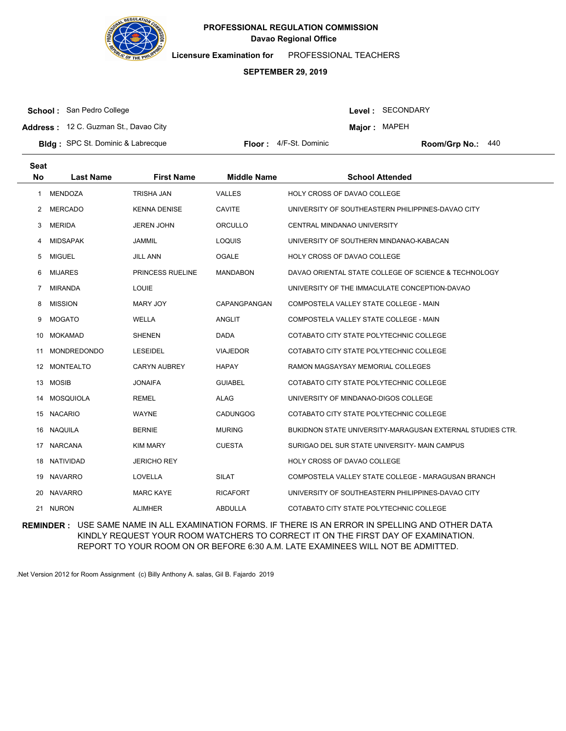

**Licensure Examination for**  PROFESSIONAL TEACHERS

#### **SEPTEMBER 29, 2019**

**School :** San Pedro College

Level : SECONDARY

**Major: MAPEH** 

**Address :** 12 C. Guzman St., Davao City

**Bldg :** SPC St. Dominic & Labrecque **Floor : AIF-St. Dominic Room/Grp No.: Room/Grp No.:** Floor: 4/F-St. Dominic Room/Grp No.: 440

| <b>Seat</b> |                    |                         |                    |                                                           |
|-------------|--------------------|-------------------------|--------------------|-----------------------------------------------------------|
| <b>No</b>   | <b>Last Name</b>   | <b>First Name</b>       | <b>Middle Name</b> | <b>School Attended</b>                                    |
| 1           | <b>MENDOZA</b>     | TRISHA JAN              | <b>VALLES</b>      | HOLY CROSS OF DAVAO COLLEGE                               |
| 2           | <b>MERCADO</b>     | <b>KENNA DENISE</b>     | <b>CAVITE</b>      | UNIVERSITY OF SOUTHEASTERN PHILIPPINES-DAVAO CITY         |
| 3           | <b>MERIDA</b>      | <b>JEREN JOHN</b>       | ORCULLO            | CENTRAL MINDANAO UNIVERSITY                               |
| 4           | <b>MIDSAPAK</b>    | JAMMIL                  | LOQUIS             | UNIVERSITY OF SOUTHERN MINDANAO-KABACAN                   |
| 5           | <b>MIGUEL</b>      | <b>JILL ANN</b>         | <b>OGALE</b>       | <b>HOLY CROSS OF DAVAO COLLEGE</b>                        |
| 6           | <b>MIJARES</b>     | <b>PRINCESS RUELINE</b> | <b>MANDABON</b>    | DAVAO ORIENTAL STATE COLLEGE OF SCIENCE & TECHNOLOGY      |
| 7           | <b>MIRANDA</b>     | <b>LOUIE</b>            |                    | UNIVERSITY OF THE IMMACULATE CONCEPTION-DAVAO             |
| 8           | <b>MISSION</b>     | MARY JOY                | CAPANGPANGAN       | COMPOSTELA VALLEY STATE COLLEGE - MAIN                    |
| 9           | <b>MOGATO</b>      | WELLA                   | <b>ANGLIT</b>      | COMPOSTELA VALLEY STATE COLLEGE - MAIN                    |
| 10          | <b>MOKAMAD</b>     | <b>SHENEN</b>           | <b>DADA</b>        | COTABATO CITY STATE POLYTECHNIC COLLEGE                   |
| 11          | <b>MONDREDONDO</b> | <b>LESEIDEL</b>         | <b>VIAJEDOR</b>    | COTABATO CITY STATE POLYTECHNIC COLLEGE                   |
| 12          | <b>MONTEALTO</b>   | <b>CARYN AUBREY</b>     | <b>HAPAY</b>       | RAMON MAGSAYSAY MEMORIAL COLLEGES                         |
| 13          | <b>MOSIB</b>       | <b>JONAIFA</b>          | <b>GUIABEL</b>     | COTABATO CITY STATE POLYTECHNIC COLLEGE                   |
| 14          | MOSQUIOLA          | <b>REMEL</b>            | <b>ALAG</b>        | UNIVERSITY OF MINDANAO-DIGOS COLLEGE                      |
| 15          | <b>NACARIO</b>     | WAYNE                   | <b>CADUNGOG</b>    | COTABATO CITY STATE POLYTECHNIC COLLEGE                   |
| 16          | NAQUILA            | <b>BERNIE</b>           | <b>MURING</b>      | BUKIDNON STATE UNIVERSITY-MARAGUSAN EXTERNAL STUDIES CTR. |
| 17          | <b>NARCANA</b>     | <b>KIM MARY</b>         | <b>CUESTA</b>      | SURIGAO DEL SUR STATE UNIVERSITY- MAIN CAMPUS             |
| 18          | <b>NATIVIDAD</b>   | <b>JERICHO REY</b>      |                    | HOLY CROSS OF DAVAO COLLEGE                               |
| 19          | <b>NAVARRO</b>     | LOVELLA                 | <b>SILAT</b>       | COMPOSTELA VALLEY STATE COLLEGE - MARAGUSAN BRANCH        |
| 20          | <b>NAVARRO</b>     | <b>MARC KAYE</b>        | <b>RICAFORT</b>    | UNIVERSITY OF SOUTHEASTERN PHILIPPINES-DAVAO CITY         |
| 21          | <b>NURON</b>       | <b>ALIMHER</b>          | <b>ABDULLA</b>     | COTABATO CITY STATE POLYTECHNIC COLLEGE                   |

**REMINDER :** USE SAME NAME IN ALL EXAMINATION FORMS. IF THERE IS AN ERROR IN SPELLING AND OTHER DATA KINDLY REQUEST YOUR ROOM WATCHERS TO CORRECT IT ON THE FIRST DAY OF EXAMINATION. REPORT TO YOUR ROOM ON OR BEFORE 6:30 A.M. LATE EXAMINEES WILL NOT BE ADMITTED.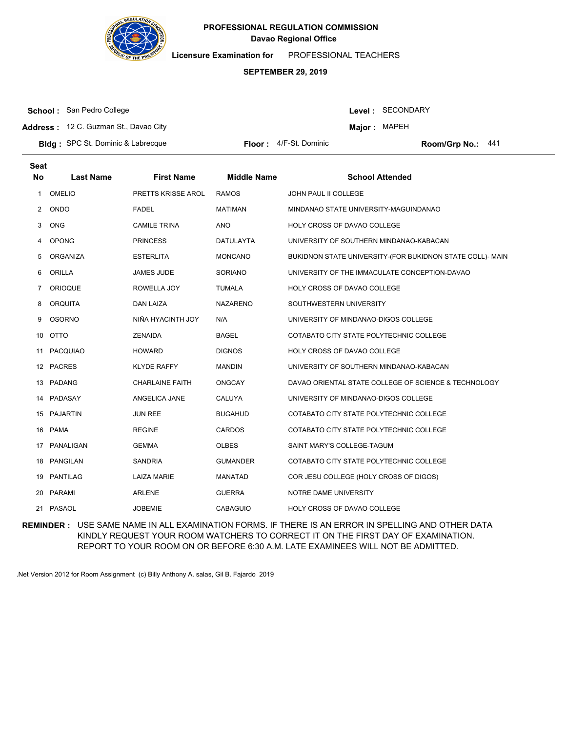

**Licensure Examination for**  PROFESSIONAL TEACHERS

#### **SEPTEMBER 29, 2019**

**School :** San Pedro College

**Seat**

Level : SECONDARY

**Major: MAPEH** 

**Address :** 12 C. Guzman St., Davao City

**Bldg :** SPC St. Dominic & Labrecque **Floor : AIF-St. Dominic Room/Grp No.: Room/Grp No.:** Floor: 4/F-St. Dominic Room/Grp No.: 441

| υσαι |                  |                        |                    |                                                           |
|------|------------------|------------------------|--------------------|-----------------------------------------------------------|
| No   | <b>Last Name</b> | <b>First Name</b>      | <b>Middle Name</b> | <b>School Attended</b>                                    |
| 1    | <b>OMELIO</b>    | PRETTS KRISSE AROL     | <b>RAMOS</b>       | <b>JOHN PAUL II COLLEGE</b>                               |
| 2    | ONDO             | <b>FADEL</b>           | <b>MATIMAN</b>     | MINDANAO STATE UNIVERSITY-MAGUINDANAO                     |
| 3    | <b>ONG</b>       | <b>CAMILE TRINA</b>    | <b>ANO</b>         | HOLY CROSS OF DAVAO COLLEGE                               |
| 4    | <b>OPONG</b>     | <b>PRINCESS</b>        | <b>DATULAYTA</b>   | UNIVERSITY OF SOUTHERN MINDANAO-KABACAN                   |
| 5    | ORGANIZA         | <b>ESTERLITA</b>       | <b>MONCANO</b>     | BUKIDNON STATE UNIVERSITY-(FOR BUKIDNON STATE COLL)- MAIN |
| 6    | ORILLA           | <b>JAMES JUDE</b>      | <b>SORIANO</b>     | UNIVERSITY OF THE IMMACULATE CONCEPTION-DAVAO             |
| 7    | <b>ORIOQUE</b>   | ROWELLA JOY            | TUMALA             | HOLY CROSS OF DAVAO COLLEGE                               |
| 8    | <b>ORQUITA</b>   | DAN LAIZA              | <b>NAZARENO</b>    | SOUTHWESTERN UNIVERSITY                                   |
| 9    | <b>OSORNO</b>    | NIÑA HYACINTH JOY      | N/A                | UNIVERSITY OF MINDANAO-DIGOS COLLEGE                      |
|      | 10 OTTO          | <b>ZENAIDA</b>         | <b>BAGEL</b>       | COTABATO CITY STATE POLYTECHNIC COLLEGE                   |
| 11   | PACQUIAO         | <b>HOWARD</b>          | <b>DIGNOS</b>      | HOLY CROSS OF DAVAO COLLEGE                               |
|      | 12 PACRES        | <b>KLYDE RAFFY</b>     | <b>MANDIN</b>      | UNIVERSITY OF SOUTHERN MINDANAO-KABACAN                   |
|      | 13 PADANG        | <b>CHARLAINE FAITH</b> | <b>ONGCAY</b>      | DAVAO ORIENTAL STATE COLLEGE OF SCIENCE & TECHNOLOGY      |
| 14   | PADASAY          | ANGELICA JANE          | CALUYA             | UNIVERSITY OF MINDANAO-DIGOS COLLEGE                      |
|      | 15 PAJARTIN      | <b>JUN REE</b>         | <b>BUGAHUD</b>     | COTABATO CITY STATE POLYTECHNIC COLLEGE                   |
|      | 16 PAMA          | <b>REGINE</b>          | <b>CARDOS</b>      | COTABATO CITY STATE POLYTECHNIC COLLEGE                   |
| 17   | PANALIGAN        | <b>GEMMA</b>           | <b>OLBES</b>       | SAINT MARY'S COLLEGE-TAGUM                                |
|      | 18 PANGILAN      | <b>SANDRIA</b>         | <b>GUMANDER</b>    | COTABATO CITY STATE POLYTECHNIC COLLEGE                   |
|      | 19 PANTILAG      | <b>LAIZA MARIE</b>     | <b>MANATAD</b>     | COR JESU COLLEGE (HOLY CROSS OF DIGOS)                    |
| 20   | PARAMI           | <b>ARLENE</b>          | <b>GUERRA</b>      | NOTRE DAME UNIVERSITY                                     |
|      | 21 PASAOL        | <b>JOBEMIE</b>         | <b>CABAGUIO</b>    | <b>HOLY CROSS OF DAVAO COLLEGE</b>                        |
|      |                  |                        |                    |                                                           |

**REMINDER :** USE SAME NAME IN ALL EXAMINATION FORMS. IF THERE IS AN ERROR IN SPELLING AND OTHER DATA KINDLY REQUEST YOUR ROOM WATCHERS TO CORRECT IT ON THE FIRST DAY OF EXAMINATION. REPORT TO YOUR ROOM ON OR BEFORE 6:30 A.M. LATE EXAMINEES WILL NOT BE ADMITTED.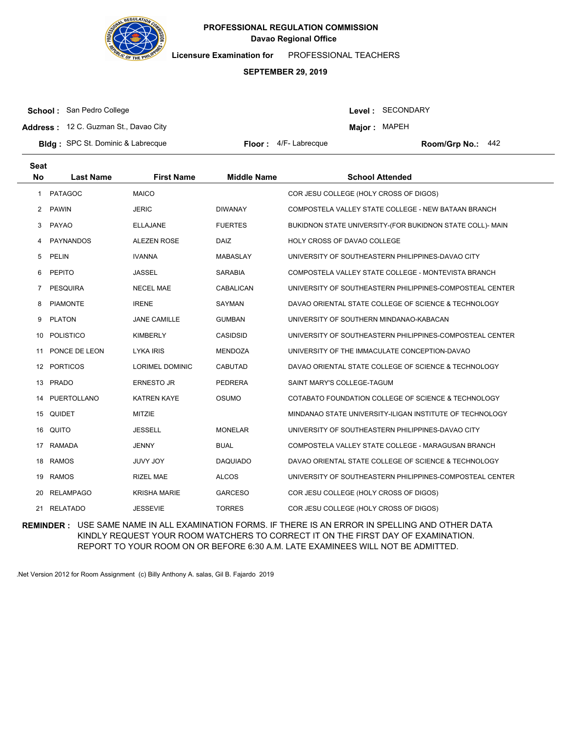

**Licensure Examination for**  PROFESSIONAL TEACHERS

#### **SEPTEMBER 29, 2019**

**School :** San Pedro College

Level : SECONDARY

**Major: MAPEH** 

**Address :** 12 C. Guzman St., Davao City

**Bldg :** SPC St. Dominic & Labrecque **Container a realist Club Floor :** A/F-Labrecque **Container Room/Grp No.:** 

Floor: 4/F-Labrecque Room/Grp No.: 442

| <b>Seat</b> |                  |                        |                    |                                                           |
|-------------|------------------|------------------------|--------------------|-----------------------------------------------------------|
| <b>No</b>   | <b>Last Name</b> | <b>First Name</b>      | <b>Middle Name</b> | <b>School Attended</b>                                    |
| 1           | <b>PATAGOC</b>   | <b>MAICO</b>           |                    | COR JESU COLLEGE (HOLY CROSS OF DIGOS)                    |
| 2           | <b>PAWIN</b>     | <b>JERIC</b>           | <b>DIWANAY</b>     | COMPOSTELA VALLEY STATE COLLEGE - NEW BATAAN BRANCH       |
| 3           | PAYAO            | <b>ELLAJANE</b>        | <b>FUERTES</b>     | BUKIDNON STATE UNIVERSITY-(FOR BUKIDNON STATE COLL)- MAIN |
| 4           | PAYNANDOS        | <b>ALEZEN ROSE</b>     | <b>DAIZ</b>        | HOLY CROSS OF DAVAO COLLEGE                               |
| 5           | PELIN            | <b>IVANNA</b>          | <b>MABASLAY</b>    | UNIVERSITY OF SOUTHEASTERN PHILIPPINES-DAVAO CITY         |
| 6           | <b>PEPITO</b>    | <b>JASSEL</b>          | <b>SARABIA</b>     | COMPOSTELA VALLEY STATE COLLEGE - MONTEVISTA BRANCH       |
| 7           | <b>PESQUIRA</b>  | <b>NECEL MAE</b>       | <b>CABALICAN</b>   | UNIVERSITY OF SOUTHEASTERN PHILIPPINES-COMPOSTEAL CENTER  |
| 8           | <b>PIAMONTE</b>  | <b>IRENE</b>           | SAYMAN             | DAVAO ORIENTAL STATE COLLEGE OF SCIENCE & TECHNOLOGY      |
| 9           | <b>PLATON</b>    | <b>JANE CAMILLE</b>    | <b>GUMBAN</b>      | UNIVERSITY OF SOUTHERN MINDANAO-KABACAN                   |
| 10          | POLISTICO        | <b>KIMBERLY</b>        | CASIDSID           | UNIVERSITY OF SOUTHEASTERN PHILIPPINES-COMPOSTEAL CENTER  |
| 11          | PONCE DE LEON    | LYKA IRIS              | <b>MENDOZA</b>     | UNIVERSITY OF THE IMMACULATE CONCEPTION-DAVAO             |
| 12          | <b>PORTICOS</b>  | <b>LORIMEL DOMINIC</b> | CABUTAD            | DAVAO ORIENTAL STATE COLLEGE OF SCIENCE & TECHNOLOGY      |
| 13          | <b>PRADO</b>     | <b>ERNESTO JR</b>      | <b>PEDRERA</b>     | SAINT MARY'S COLLEGE-TAGUM                                |
| 14          | PUERTOLLANO      | <b>KATREN KAYE</b>     | OSUMO              | COTABATO FOUNDATION COLLEGE OF SCIENCE & TECHNOLOGY       |
| 15          | QUIDET           | <b>MITZIE</b>          |                    | MINDANAO STATE UNIVERSITY-ILIGAN INSTITUTE OF TECHNOLOGY  |
| 16          | QUITO            | <b>JESSELL</b>         | <b>MONELAR</b>     | UNIVERSITY OF SOUTHEASTERN PHILIPPINES-DAVAO CITY         |
| 17          | <b>RAMADA</b>    | <b>JENNY</b>           | <b>BUAL</b>        | COMPOSTELA VALLEY STATE COLLEGE - MARAGUSAN BRANCH        |
| 18          | <b>RAMOS</b>     | <b>JUVY JOY</b>        | <b>DAQUIADO</b>    | DAVAO ORIENTAL STATE COLLEGE OF SCIENCE & TECHNOLOGY      |
| 19          | <b>RAMOS</b>     | <b>RIZEL MAE</b>       | <b>ALCOS</b>       | UNIVERSITY OF SOUTHEASTERN PHILIPPINES-COMPOSTEAL CENTER  |
| 20          | <b>RELAMPAGO</b> | <b>KRISHA MARIE</b>    | <b>GARCESO</b>     | COR JESU COLLEGE (HOLY CROSS OF DIGOS)                    |
|             | 21 RELATADO      | <b>JESSEVIE</b>        | <b>TORRES</b>      | COR JESU COLLEGE (HOLY CROSS OF DIGOS)                    |

**REMINDER :** USE SAME NAME IN ALL EXAMINATION FORMS. IF THERE IS AN ERROR IN SPELLING AND OTHER DATA KINDLY REQUEST YOUR ROOM WATCHERS TO CORRECT IT ON THE FIRST DAY OF EXAMINATION. REPORT TO YOUR ROOM ON OR BEFORE 6:30 A.M. LATE EXAMINEES WILL NOT BE ADMITTED.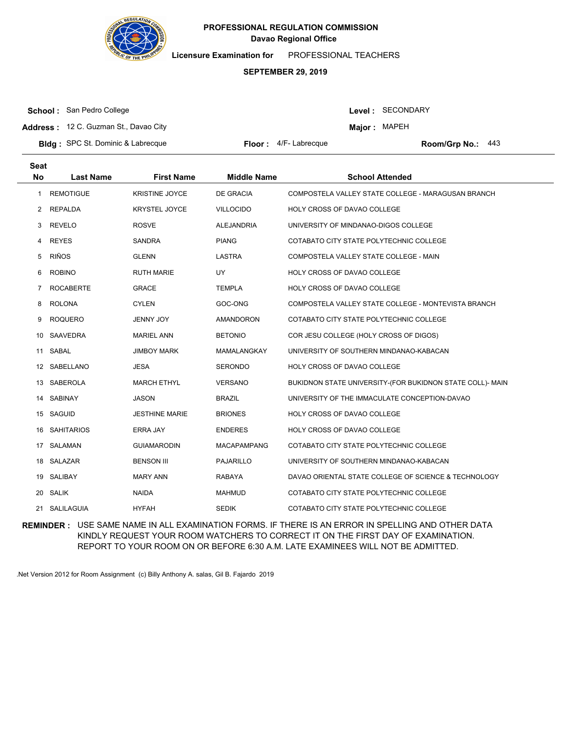

**Licensure Examination for**  PROFESSIONAL TEACHERS

#### **SEPTEMBER 29, 2019**

**School :** San Pedro College

Level : SECONDARY

**Major: MAPEH** 

**Address :** 12 C. Guzman St., Davao City

**Bldg :** SPC St. Dominic & Labrecque **Container a realist Club Floor :** A/F-Labrecque **Container Room/Grp No.:** Floor: 4/F-Labrecque Room/Grp No.: 443

| <b>Seat</b> |                   |                       |                    |                                                           |
|-------------|-------------------|-----------------------|--------------------|-----------------------------------------------------------|
| <b>No</b>   | <b>Last Name</b>  | <b>First Name</b>     | <b>Middle Name</b> | <b>School Attended</b>                                    |
| 1           | <b>REMOTIGUE</b>  | <b>KRISTINE JOYCE</b> | <b>DE GRACIA</b>   | COMPOSTELA VALLEY STATE COLLEGE - MARAGUSAN BRANCH        |
| 2           | <b>REPALDA</b>    | <b>KRYSTEL JOYCE</b>  | <b>VILLOCIDO</b>   | <b>HOLY CROSS OF DAVAO COLLEGE</b>                        |
| 3           | <b>REVELO</b>     | <b>ROSVE</b>          | <b>ALEJANDRIA</b>  | UNIVERSITY OF MINDANAO-DIGOS COLLEGE                      |
| 4           | <b>REYES</b>      | <b>SANDRA</b>         | <b>PIANG</b>       | COTABATO CITY STATE POLYTECHNIC COLLEGE                   |
| 5           | <b>RIÑOS</b>      | <b>GLENN</b>          | LASTRA             | COMPOSTELA VALLEY STATE COLLEGE - MAIN                    |
| 6           | <b>ROBINO</b>     | <b>RUTH MARIE</b>     | UY.                | HOLY CROSS OF DAVAO COLLEGE                               |
| $7^{\circ}$ | <b>ROCABERTE</b>  | <b>GRACE</b>          | <b>TEMPLA</b>      | HOLY CROSS OF DAVAO COLLEGE                               |
| 8           | <b>ROLONA</b>     | <b>CYLEN</b>          | GOC-ONG            | COMPOSTELA VALLEY STATE COLLEGE - MONTEVISTA BRANCH       |
| 9           | <b>ROQUERO</b>    | <b>JENNY JOY</b>      | AMANDORON          | COTABATO CITY STATE POLYTECHNIC COLLEGE                   |
| 10.         | SAAVEDRA          | <b>MARIEL ANN</b>     | <b>BETONIO</b>     | COR JESU COLLEGE (HOLY CROSS OF DIGOS)                    |
| 11          | <b>SABAL</b>      | <b>JIMBOY MARK</b>    | <b>MAMALANGKAY</b> | UNIVERSITY OF SOUTHERN MINDANAO-KABACAN                   |
|             | 12 SABELLANO      | JESA                  | <b>SERONDO</b>     | <b>HOLY CROSS OF DAVAO COLLEGE</b>                        |
| 13          | SABEROLA          | <b>MARCH ETHYL</b>    | <b>VERSANO</b>     | BUKIDNON STATE UNIVERSITY-(FOR BUKIDNON STATE COLL)- MAIN |
| 14          | SABINAY           | <b>JASON</b>          | <b>BRAZIL</b>      | UNIVERSITY OF THE IMMACULATE CONCEPTION-DAVAO             |
|             | 15 SAGUID         | <b>JESTHINE MARIE</b> | <b>BRIONES</b>     | HOLY CROSS OF DAVAO COLLEGE                               |
| 16.         | <b>SAHITARIOS</b> | <b>ERRA JAY</b>       | <b>ENDERES</b>     | HOLY CROSS OF DAVAO COLLEGE                               |
| 17          | SALAMAN           | <b>GUIAMARODIN</b>    | <b>MACAPAMPANG</b> | COTABATO CITY STATE POLYTECHNIC COLLEGE                   |
|             | 18 SALAZAR        | <b>BENSON III</b>     | <b>PAJARILLO</b>   | UNIVERSITY OF SOUTHERN MINDANAO-KABACAN                   |
| 19.         | SALIBAY           | <b>MARY ANN</b>       | <b>RABAYA</b>      | DAVAO ORIENTAL STATE COLLEGE OF SCIENCE & TECHNOLOGY      |
| 20          | <b>SALIK</b>      | <b>NAIDA</b>          | <b>MAHMUD</b>      | COTABATO CITY STATE POLYTECHNIC COLLEGE                   |
| 21          | SALILAGUIA        | <b>HYFAH</b>          | <b>SEDIK</b>       | COTABATO CITY STATE POLYTECHNIC COLLEGE                   |

**REMINDER :** USE SAME NAME IN ALL EXAMINATION FORMS. IF THERE IS AN ERROR IN SPELLING AND OTHER DATA KINDLY REQUEST YOUR ROOM WATCHERS TO CORRECT IT ON THE FIRST DAY OF EXAMINATION. REPORT TO YOUR ROOM ON OR BEFORE 6:30 A.M. LATE EXAMINEES WILL NOT BE ADMITTED.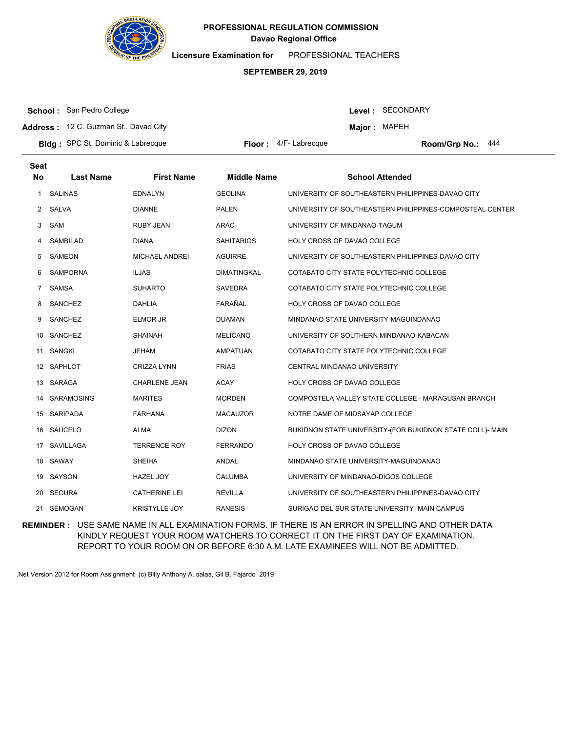

**Licensure Examination for**  PROFESSIONAL TEACHERS

#### **SEPTEMBER 29, 2019**

**School :** San Pedro College

Level : SECONDARY

**Major: MAPEH** 

**Address :** 12 C. Guzman St., Davao City

**Bldg :** SPC St. Dominic & Labrecque **Container a realist Club Floor :** A/F-Labrecque **Container Room/Grp No.:** 

Floor: 4/F-Labrecque Room/Grp No.: 444

| <b>Seat</b><br><b>No</b> | <b>Last Name</b> | <b>First Name</b>     | <b>Middle Name</b> | <b>School Attended</b>                                    |
|--------------------------|------------------|-----------------------|--------------------|-----------------------------------------------------------|
| $\mathbf{1}$             | <b>SALINAS</b>   | <b>EDNALYN</b>        | <b>GEOLINA</b>     | UNIVERSITY OF SOUTHEASTERN PHILIPPINES-DAVAO CITY         |
| 2                        | SALVA            | <b>DIANNE</b>         | <b>PALEN</b>       | UNIVERSITY OF SOUTHEASTERN PHILIPPINES-COMPOSTEAL CENTER  |
| 3                        | <b>SAM</b>       | <b>RUBY JEAN</b>      | <b>ARAC</b>        | UNIVERSITY OF MINDANAO-TAGUM                              |
| 4                        | <b>SAMBILAD</b>  | <b>DIANA</b>          | <b>SAHITARIOS</b>  | HOLY CROSS OF DAVAO COLLEGE                               |
| 5                        | <b>SAMEON</b>    | <b>MICHAEL ANDREI</b> | <b>AGUIRRE</b>     | UNIVERSITY OF SOUTHEASTERN PHILIPPINES-DAVAO CITY         |
| 6                        | <b>SAMPORNA</b>  | <b>ILJAS</b>          | <b>DIMATINGKAL</b> | COTABATO CITY STATE POLYTECHNIC COLLEGE                   |
| 7                        | <b>SAMSA</b>     | <b>SUHARTO</b>        | <b>SAVEDRA</b>     | COTABATO CITY STATE POLYTECHNIC COLLEGE                   |
| 8                        | SANCHEZ          | <b>DAHLIA</b>         | FARAÑAL            | HOLY CROSS OF DAVAO COLLEGE                               |
| 9                        | <b>SANCHEZ</b>   | ELMOR JR              | <b>DUAMAN</b>      | MINDANAO STATE UNIVERSITY-MAGUINDANAO                     |
| 10                       | SANCHEZ          | <b>SHAINAH</b>        | <b>MELICANO</b>    | UNIVERSITY OF SOUTHERN MINDANAO-KABACAN                   |
| 11                       | SANGKI           | <b>JEHAM</b>          | <b>AMPATUAN</b>    | COTABATO CITY STATE POLYTECHNIC COLLEGE                   |
|                          | 12 SAPHLOT       | <b>CRIZZA LYNN</b>    | <b>FRIAS</b>       | <b>CENTRAL MINDANAO UNIVERSITY</b>                        |
| 13                       | SARAGA           | <b>CHARLENE JEAN</b>  | <b>ACAY</b>        | HOLY CROSS OF DAVAO COLLEGE                               |
| 14                       | SARAMOSING       | <b>MARITES</b>        | <b>MORDEN</b>      | COMPOSTELA VALLEY STATE COLLEGE - MARAGUSAN BRANCH        |
| 15                       | SARIPADA         | <b>FARHANA</b>        | <b>MACAUZOR</b>    | NOTRE DAME OF MIDSAYAP COLLEGE                            |
| 16                       | SAUCELO          | <b>ALMA</b>           | <b>DIZON</b>       | BUKIDNON STATE UNIVERSITY-(FOR BUKIDNON STATE COLL)- MAIN |
| 17                       | SAVILLAGA        | <b>TERRENCE ROY</b>   | <b>FERRANDO</b>    | HOLY CROSS OF DAVAO COLLEGE                               |
| 18                       | SAWAY            | <b>SHEIHA</b>         | ANDAL              | MINDANAO STATE UNIVERSITY-MAGUINDANAO                     |
| 19                       | SAYSON           | <b>HAZEL JOY</b>      | <b>CALUMBA</b>     | UNIVERSITY OF MINDANAO-DIGOS COLLEGE                      |
| 20                       | <b>SEGURA</b>    | <b>CATHERINE LEI</b>  | <b>REVILLA</b>     | UNIVERSITY OF SOUTHEASTERN PHILIPPINES-DAVAO CITY         |
|                          | 21 SEMOGAN       | <b>KRISTYLLE JOY</b>  | <b>RANESIS</b>     | SURIGAO DEL SUR STATE UNIVERSITY- MAIN CAMPUS             |

**REMINDER :** USE SAME NAME IN ALL EXAMINATION FORMS. IF THERE IS AN ERROR IN SPELLING AND OTHER DATA KINDLY REQUEST YOUR ROOM WATCHERS TO CORRECT IT ON THE FIRST DAY OF EXAMINATION. REPORT TO YOUR ROOM ON OR BEFORE 6:30 A.M. LATE EXAMINEES WILL NOT BE ADMITTED.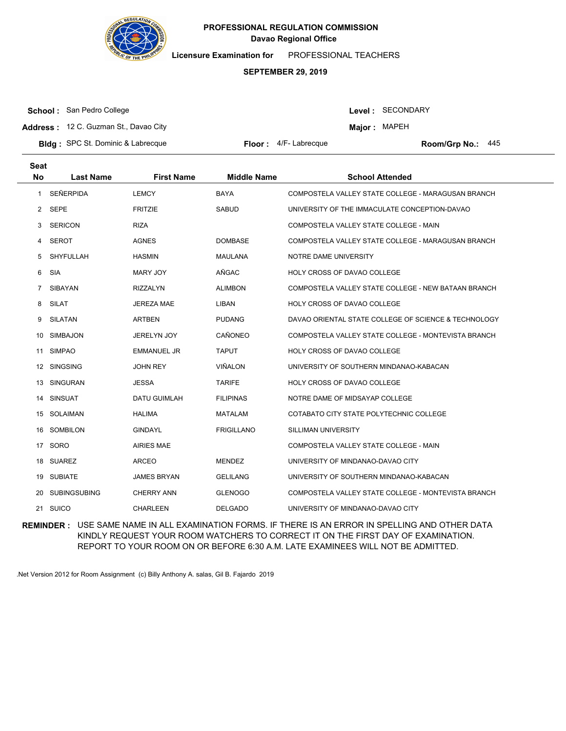

**Licensure Examination for**  PROFESSIONAL TEACHERS

#### **SEPTEMBER 29, 2019**

**School :** San Pedro College

Level : SECONDARY

**Major: MAPEH** 

**Address :** 12 C. Guzman St., Davao City

**Bldg :** SPC St. Dominic & Labrecque **Container a realist Club Floor :** A/F-Labrecque **Container Room/Grp No.:** Floor: 4/F-Labrecque Room/Grp No.: 445

| <b>Seat</b>  |                     |                     |                    |                                                      |
|--------------|---------------------|---------------------|--------------------|------------------------------------------------------|
| <b>No</b>    | <b>Last Name</b>    | <b>First Name</b>   | <b>Middle Name</b> | <b>School Attended</b>                               |
| $\mathbf{1}$ | <b>SEÑERPIDA</b>    | <b>LEMCY</b>        | <b>BAYA</b>        | COMPOSTELA VALLEY STATE COLLEGE - MARAGUSAN BRANCH   |
| 2            | <b>SEPE</b>         | <b>FRITZIE</b>      | <b>SABUD</b>       | UNIVERSITY OF THE IMMACULATE CONCEPTION-DAVAO        |
| 3            | <b>SERICON</b>      | <b>RIZA</b>         |                    | COMPOSTELA VALLEY STATE COLLEGE - MAIN               |
| 4            | <b>SEROT</b>        | <b>AGNES</b>        | <b>DOMBASE</b>     | COMPOSTELA VALLEY STATE COLLEGE - MARAGUSAN BRANCH   |
| 5            | SHYFULLAH           | <b>HASMIN</b>       | <b>MAULANA</b>     | NOTRE DAME UNIVERSITY                                |
| 6            | <b>SIA</b>          | <b>MARY JOY</b>     | AÑGAC              | <b>HOLY CROSS OF DAVAO COLLEGE</b>                   |
| $7^{\circ}$  | <b>SIBAYAN</b>      | <b>RIZZALYN</b>     | <b>ALIMBON</b>     | COMPOSTELA VALLEY STATE COLLEGE - NEW BATAAN BRANCH  |
| 8            | <b>SILAT</b>        | <b>JEREZA MAE</b>   | LIBAN              | <b>HOLY CROSS OF DAVAO COLLEGE</b>                   |
| 9            | SILATAN             | <b>ARTBEN</b>       | <b>PUDANG</b>      | DAVAO ORIENTAL STATE COLLEGE OF SCIENCE & TECHNOLOGY |
| 10           | <b>SIMBAJON</b>     | <b>JERELYN JOY</b>  | CAÑONEO            | COMPOSTELA VALLEY STATE COLLEGE - MONTEVISTA BRANCH  |
| 11           | <b>SIMPAO</b>       | <b>EMMANUEL JR</b>  | <b>TAPUT</b>       | HOLY CROSS OF DAVAO COLLEGE                          |
|              | 12 SINGSING         | <b>JOHN REY</b>     | <b>VIÑALON</b>     | UNIVERSITY OF SOUTHERN MINDANAO-KABACAN              |
| 13           | <b>SINGURAN</b>     | JESSA               | <b>TARIFE</b>      | <b>HOLY CROSS OF DAVAO COLLEGE</b>                   |
| 14           | <b>SINSUAT</b>      | <b>DATU GUIMLAH</b> | <b>FILIPINAS</b>   | NOTRE DAME OF MIDSAYAP COLLEGE                       |
|              | 15 SOLAIMAN         | <b>HALIMA</b>       | <b>MATALAM</b>     | COTABATO CITY STATE POLYTECHNIC COLLEGE              |
| 16           | <b>SOMBILON</b>     | <b>GINDAYL</b>      | <b>FRIGILLANO</b>  | SILLIMAN UNIVERSITY                                  |
|              | 17 SORO             | <b>AIRIES MAE</b>   |                    | COMPOSTELA VALLEY STATE COLLEGE - MAIN               |
| 18           | <b>SUAREZ</b>       | <b>ARCEO</b>        | <b>MENDEZ</b>      | UNIVERSITY OF MINDANAO-DAVAO CITY                    |
| 19           | <b>SUBIATE</b>      | <b>JAMES BRYAN</b>  | <b>GELILANG</b>    | UNIVERSITY OF SOUTHERN MINDANAO-KABACAN              |
| 20           | <b>SUBINGSUBING</b> | <b>CHERRY ANN</b>   | <b>GLENOGO</b>     | COMPOSTELA VALLEY STATE COLLEGE - MONTEVISTA BRANCH  |
| 21           | <b>SUICO</b>        | <b>CHARLEEN</b>     | <b>DELGADO</b>     | UNIVERSITY OF MINDANAO-DAVAO CITY                    |

**REMINDER :** USE SAME NAME IN ALL EXAMINATION FORMS. IF THERE IS AN ERROR IN SPELLING AND OTHER DATA KINDLY REQUEST YOUR ROOM WATCHERS TO CORRECT IT ON THE FIRST DAY OF EXAMINATION. REPORT TO YOUR ROOM ON OR BEFORE 6:30 A.M. LATE EXAMINEES WILL NOT BE ADMITTED.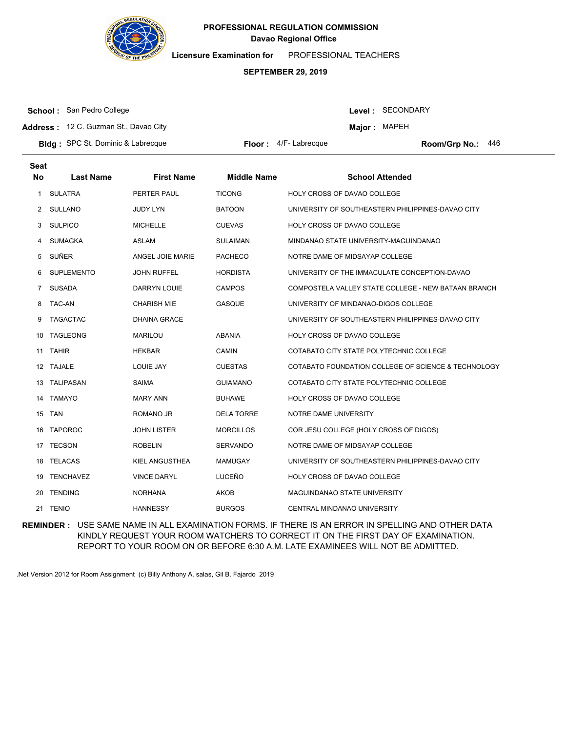

**Licensure Examination for**  PROFESSIONAL TEACHERS

#### **SEPTEMBER 29, 2019**

**School :** San Pedro College

Level : SECONDARY

**Major: MAPEH** 

**Address :** 12 C. Guzman St., Davao City

**Bldg :** SPC St. Dominic & Labrecque **Container a realist Club Floor :** A/F-Labrecque **Container Room/Grp No.:** 

Floor: 4/F-Labrecque Room/Grp No.: 446

| <b>Seat</b><br><b>No</b> | <b>Last Name</b>  | <b>First Name</b>   | <b>Middle Name</b> | <b>School Attended</b>                              |
|--------------------------|-------------------|---------------------|--------------------|-----------------------------------------------------|
| 1                        | <b>SULATRA</b>    | PERTER PAUL         | <b>TICONG</b>      | HOLY CROSS OF DAVAO COLLEGE                         |
| 2                        | SULLANO           | <b>JUDY LYN</b>     | <b>BATOON</b>      | UNIVERSITY OF SOUTHEASTERN PHILIPPINES-DAVAO CITY   |
| 3                        | <b>SULPICO</b>    | <b>MICHELLE</b>     | <b>CUEVAS</b>      | HOLY CROSS OF DAVAO COLLEGE                         |
| 4                        | <b>SUMAGKA</b>    | <b>ASLAM</b>        | <b>SULAIMAN</b>    | MINDANAO STATE UNIVERSITY-MAGUINDANAO               |
| 5                        | SUÑER             | ANGEL JOIE MARIE    | <b>PACHECO</b>     | NOTRE DAME OF MIDSAYAP COLLEGE                      |
| 6                        | <b>SUPLEMENTO</b> | <b>JOHN RUFFEL</b>  | <b>HORDISTA</b>    | UNIVERSITY OF THE IMMACULATE CONCEPTION-DAVAO       |
| 7                        | <b>SUSADA</b>     | DARRYN LOUIE        | <b>CAMPOS</b>      | COMPOSTELA VALLEY STATE COLLEGE - NEW BATAAN BRANCH |
| 8                        | <b>TAC-AN</b>     | <b>CHARISH MIE</b>  | <b>GASQUE</b>      | UNIVERSITY OF MINDANAO-DIGOS COLLEGE                |
| 9                        | <b>TAGACTAC</b>   | <b>DHAINA GRACE</b> |                    | UNIVERSITY OF SOUTHEASTERN PHILIPPINES-DAVAO CITY   |
| 10                       | <b>TAGLEONG</b>   | <b>MARILOU</b>      | ABANIA             | HOLY CROSS OF DAVAO COLLEGE                         |
|                          | 11 TAHIR          | <b>HEKBAR</b>       | CAMIN              | COTABATO CITY STATE POLYTECHNIC COLLEGE             |
|                          | 12 TAJALE         | LOUIE JAY           | <b>CUESTAS</b>     | COTABATO FOUNDATION COLLEGE OF SCIENCE & TECHNOLOGY |
| 13                       | <b>TALIPASAN</b>  | <b>SAIMA</b>        | <b>GUIAMANO</b>    | COTABATO CITY STATE POLYTECHNIC COLLEGE             |
|                          | 14 TAMAYO         | <b>MARY ANN</b>     | <b>BUHAWE</b>      | HOLY CROSS OF DAVAO COLLEGE                         |
|                          | 15 TAN            | ROMANO JR           | <b>DELA TORRE</b>  | NOTRE DAME UNIVERSITY                               |
| 16                       | <b>TAPOROC</b>    | <b>JOHN LISTER</b>  | <b>MORCILLOS</b>   | COR JESU COLLEGE (HOLY CROSS OF DIGOS)              |
| 17                       | <b>TECSON</b>     | <b>ROBELIN</b>      | <b>SERVANDO</b>    | NOTRE DAME OF MIDSAYAP COLLEGE                      |
|                          | 18 TELACAS        | KIEL ANGUSTHEA      | <b>MAMUGAY</b>     | UNIVERSITY OF SOUTHEASTERN PHILIPPINES-DAVAO CITY   |
| 19                       | <b>TENCHAVEZ</b>  | <b>VINCE DARYL</b>  | LUCEÑO             | HOLY CROSS OF DAVAO COLLEGE                         |
| 20                       | <b>TENDING</b>    | <b>NORHANA</b>      | AKOB               | MAGUINDANAO STATE UNIVERSITY                        |
|                          | 21 TENIO          | <b>HANNESSY</b>     | <b>BURGOS</b>      | CENTRAL MINDANAO UNIVERSITY                         |

**REMINDER :** USE SAME NAME IN ALL EXAMINATION FORMS. IF THERE IS AN ERROR IN SPELLING AND OTHER DATA KINDLY REQUEST YOUR ROOM WATCHERS TO CORRECT IT ON THE FIRST DAY OF EXAMINATION. REPORT TO YOUR ROOM ON OR BEFORE 6:30 A.M. LATE EXAMINEES WILL NOT BE ADMITTED.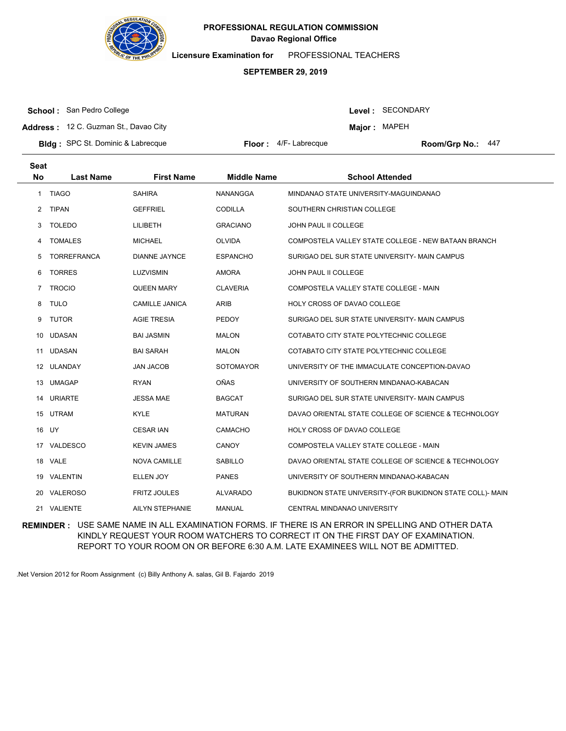

**Licensure Examination for**  PROFESSIONAL TEACHERS

#### **SEPTEMBER 29, 2019**

**School :** San Pedro College

Level : SECONDARY

**Major: MAPEH** 

**Address :** 12 C. Guzman St., Davao City

**Bldg :** SPC St. Dominic & Labrecque **Container a realist Club Floor :** A/F-Labrecque **Container Room/Grp No.:** Floor: 4/F-Labrecque Room/Grp No.: 447

| <b>Seat</b>  |                    |                        |                    |                                                           |
|--------------|--------------------|------------------------|--------------------|-----------------------------------------------------------|
| <b>No</b>    | <b>Last Name</b>   | <b>First Name</b>      | <b>Middle Name</b> | <b>School Attended</b>                                    |
| $\mathbf{1}$ | <b>TIAGO</b>       | <b>SAHIRA</b>          | NANANGGA           | MINDANAO STATE UNIVERSITY-MAGUINDANAO                     |
| 2            | <b>TIPAN</b>       | <b>GEFFRIEL</b>        | <b>CODILLA</b>     | SOUTHERN CHRISTIAN COLLEGE                                |
| 3            | <b>TOLEDO</b>      | LILIBETH               | <b>GRACIANO</b>    | JOHN PAUL II COLLEGE                                      |
| 4            | <b>TOMALES</b>     | <b>MICHAEL</b>         | <b>OLVIDA</b>      | COMPOSTELA VALLEY STATE COLLEGE - NEW BATAAN BRANCH       |
| 5            | <b>TORREFRANCA</b> | <b>DIANNE JAYNCE</b>   | <b>ESPANCHO</b>    | SURIGAO DEL SUR STATE UNIVERSITY- MAIN CAMPUS             |
| 6            | <b>TORRES</b>      | LUZVISMIN              | <b>AMORA</b>       | <b>JOHN PAUL II COLLEGE</b>                               |
| $7^{\circ}$  | <b>TROCIO</b>      | <b>QUEEN MARY</b>      | <b>CLAVERIA</b>    | COMPOSTELA VALLEY STATE COLLEGE - MAIN                    |
| 8            | <b>TULO</b>        | <b>CAMILLE JANICA</b>  | <b>ARIB</b>        | HOLY CROSS OF DAVAO COLLEGE                               |
| 9            | <b>TUTOR</b>       | <b>AGIE TRESIA</b>     | <b>PEDOY</b>       | SURIGAO DEL SUR STATE UNIVERSITY- MAIN CAMPUS             |
| 10           | <b>UDASAN</b>      | <b>BAI JASMIN</b>      | <b>MALON</b>       | COTABATO CITY STATE POLYTECHNIC COLLEGE                   |
| 11           | <b>UDASAN</b>      | <b>BAI SARAH</b>       | <b>MALON</b>       | COTABATO CITY STATE POLYTECHNIC COLLEGE                   |
| 12           | ULANDAY            | <b>JAN JACOB</b>       | SOTOMAYOR          | UNIVERSITY OF THE IMMACULATE CONCEPTION-DAVAO             |
| 13           | <b>UMAGAP</b>      | <b>RYAN</b>            | OÑAS               | UNIVERSITY OF SOUTHERN MINDANAO-KABACAN                   |
| 14           | <b>URIARTE</b>     | <b>JESSA MAE</b>       | <b>BAGCAT</b>      | SURIGAO DEL SUR STATE UNIVERSITY- MAIN CAMPUS             |
| 15           | <b>UTRAM</b>       | <b>KYLE</b>            | <b>MATURAN</b>     | DAVAO ORIENTAL STATE COLLEGE OF SCIENCE & TECHNOLOGY      |
|              | 16 UY              | <b>CESAR IAN</b>       | CAMACHO            | HOLY CROSS OF DAVAO COLLEGE                               |
|              | 17 VALDESCO        | <b>KEVIN JAMES</b>     | <b>CANOY</b>       | COMPOSTELA VALLEY STATE COLLEGE - MAIN                    |
|              | 18 VALE            | <b>NOVA CAMILLE</b>    | <b>SABILLO</b>     | DAVAO ORIENTAL STATE COLLEGE OF SCIENCE & TECHNOLOGY      |
| 19           | VALENTIN           | <b>ELLEN JOY</b>       | <b>PANES</b>       | UNIVERSITY OF SOUTHERN MINDANAO-KABACAN                   |
| 20           | VALEROSO           | <b>FRITZ JOULES</b>    | <b>ALVARADO</b>    | BUKIDNON STATE UNIVERSITY-(FOR BUKIDNON STATE COLL)- MAIN |
|              | 21 VALIENTE        | <b>AILYN STEPHANIE</b> | <b>MANUAL</b>      | CENTRAL MINDANAO UNIVERSITY                               |

**REMINDER :** USE SAME NAME IN ALL EXAMINATION FORMS. IF THERE IS AN ERROR IN SPELLING AND OTHER DATA KINDLY REQUEST YOUR ROOM WATCHERS TO CORRECT IT ON THE FIRST DAY OF EXAMINATION. REPORT TO YOUR ROOM ON OR BEFORE 6:30 A.M. LATE EXAMINEES WILL NOT BE ADMITTED.